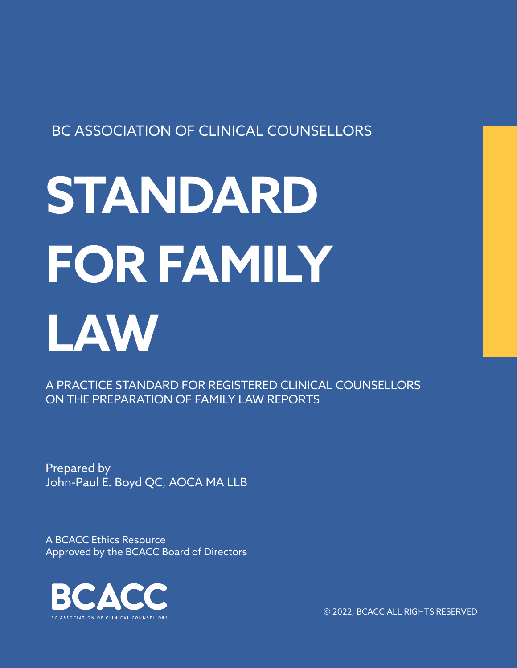### BC ASSOCIATION OF CLINICAL COUNSELLORS

# **STANDARD FOR FAMILY LAW**

A PRACTICE STANDARD FOR REGISTERED CLINICAL COUNSELLORS ON THE PREPARATION OF FAMILY LAW REPORTS

Prepared by John-Paul E. Boyd QC, AOCA MA LLB

A BCACC Ethics Resource Approved by the BCACC Board of Directors



© 2022, BCACC ALL RIGHTS RESERVED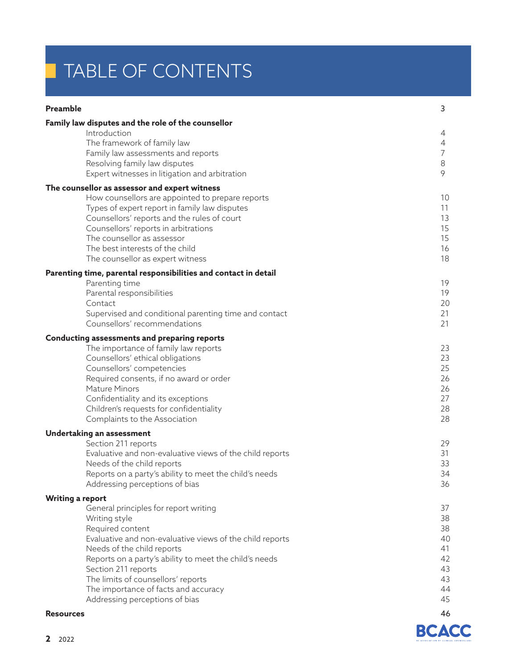# TABLE OF CONTENTS

#### **Preamble**

|                  | Family law disputes and the role of the counsellor                                   |                |
|------------------|--------------------------------------------------------------------------------------|----------------|
|                  | Introduction<br>The framework of family law                                          | 4<br>4         |
|                  | Family law assessments and reports                                                   | $\overline{7}$ |
|                  | Resolving family law disputes                                                        | 8              |
|                  | Expert witnesses in litigation and arbitration                                       | 9              |
|                  | The counsellor as assessor and expert witness                                        |                |
|                  | How counsellors are appointed to prepare reports                                     | 10             |
|                  | Types of expert report in family law disputes                                        | 11             |
|                  | Counsellors' reports and the rules of court<br>Counsellors' reports in arbitrations  | 13<br>15       |
|                  | The counsellor as assessor                                                           | 15             |
|                  | The best interests of the child                                                      | 16             |
|                  | The counsellor as expert witness                                                     | 18             |
|                  | Parenting time, parental responsibilities and contact in detail                      |                |
|                  | Parenting time                                                                       | 19             |
|                  | Parental responsibilities<br>Contact                                                 | 19<br>20       |
|                  | Supervised and conditional parenting time and contact                                | 21             |
|                  | Counsellors' recommendations                                                         | 21             |
|                  | Conducting assessments and preparing reports                                         |                |
|                  | The importance of family law reports                                                 | 23             |
|                  | Counsellors' ethical obligations                                                     | 23             |
|                  | Counsellors' competencies                                                            | 25<br>26       |
|                  | Required consents, if no award or order<br><b>Mature Minors</b>                      | 26             |
|                  | Confidentiality and its exceptions                                                   | 27             |
|                  | Children's requests for confidentiality                                              | 28             |
|                  | Complaints to the Association                                                        | 28             |
|                  | Undertaking an assessment                                                            |                |
|                  | Section 211 reports                                                                  | 29             |
|                  | Evaluative and non-evaluative views of the child reports                             | 31             |
|                  | Needs of the child reports<br>Reports on a party's ability to meet the child's needs | 33<br>34       |
|                  | Addressing perceptions of bias                                                       | 36             |
|                  | <b>Writing a report</b>                                                              |                |
|                  | General principles for report writing                                                | 37             |
|                  | Writing style                                                                        | 38             |
|                  | Required content                                                                     | 38             |
|                  | Evaluative and non-evaluative views of the child reports                             | 40<br>41       |
|                  | Needs of the child reports<br>Reports on a party's ability to meet the child's needs | 42             |
|                  | Section 211 reports                                                                  | 43             |
|                  | The limits of counsellors' reports                                                   | 43             |
|                  | The importance of facts and accuracy                                                 | 44             |
|                  | Addressing perceptions of bias                                                       | 45             |
| <b>Resources</b> |                                                                                      | 46             |



3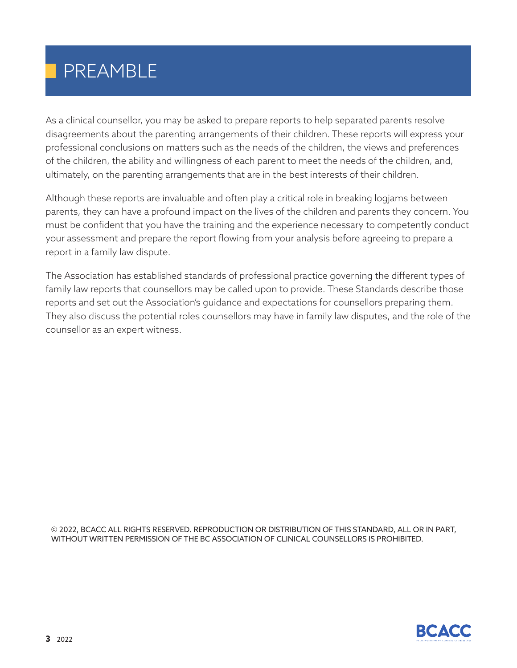# PREAMBLE

As a clinical counsellor, you may be asked to prepare reports to help separated parents resolve disagreements about the parenting arrangements of their children. These reports will express your professional conclusions on matters such as the needs of the children, the views and preferences of the children, the ability and willingness of each parent to meet the needs of the children, and, ultimately, on the parenting arrangements that are in the best interests of their children.

Although these reports are invaluable and often play a critical role in breaking logjams between parents, they can have a profound impact on the lives of the children and parents they concern. You must be confident that you have the training and the experience necessary to competently conduct your assessment and prepare the report flowing from your analysis before agreeing to prepare a report in a family law dispute.

The Association has established standards of professional practice governing the different types of family law reports that counsellors may be called upon to provide. These Standards describe those reports and set out the Association's guidance and expectations for counsellors preparing them. They also discuss the potential roles counsellors may have in family law disputes, and the role of the counsellor as an expert witness.

© 2022, BCACC ALL RIGHTS RESERVED. REPRODUCTION OR DISTRIBUTION OF THIS STANDARD, ALL OR IN PART, WITHOUT WRITTEN PERMISSION OF THE BC ASSOCIATION OF CLINICAL COUNSELLORS IS PROHIBITED.

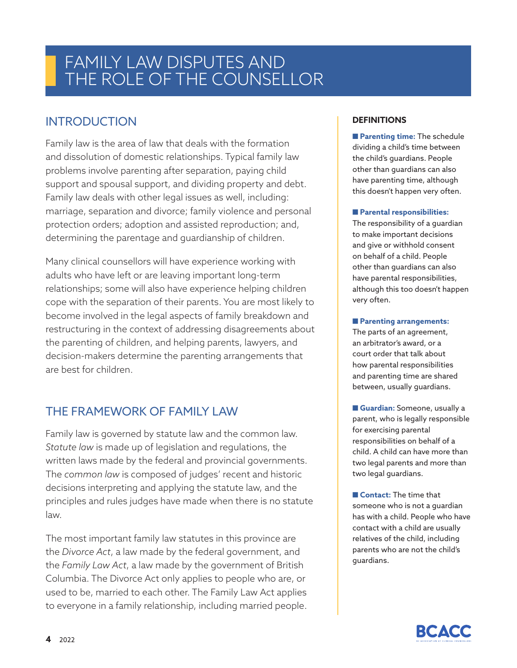### **INTRODUCTION**

Family law is the area of law that deals with the formation and dissolution of domestic relationships. Typical family law problems involve parenting after separation, paying child support and spousal support, and dividing property and debt. Family law deals with other legal issues as well, including: marriage, separation and divorce; family violence and personal protection orders; adoption and assisted reproduction; and, determining the parentage and guardianship of children.

Many clinical counsellors will have experience working with adults who have left or are leaving important long-term relationships; some will also have experience helping children cope with the separation of their parents. You are most likely to become involved in the legal aspects of family breakdown and restructuring in the context of addressing disagreements about the parenting of children, and helping parents, lawyers, and decision-makers determine the parenting arrangements that are best for children.

### THE FRAMEWORK OF FAMILY LAW

Family law is governed by statute law and the common law. *Statute law* is made up of legislation and regulations, the written laws made by the federal and provincial governments. The *common law* is composed of judges' recent and historic decisions interpreting and applying the statute law, and the principles and rules judges have made when there is no statute law.

The most important family law statutes in this province are the *Divorce Act*, a law made by the federal government, and the *Family Law Act*, a law made by the government of British Columbia. The Divorce Act only applies to people who are, or used to be, married to each other. The Family Law Act applies to everyone in a family relationship, including married people.

#### **DEFINITIONS**

■ **Parenting time:** The schedule dividing a child's time between the child's guardians. People other than guardians can also have parenting time, although this doesn't happen very often.

#### ■ **Parental responsibilities:**

The responsibility of a guardian to make important decisions and give or withhold consent on behalf of a child. People other than guardians can also have parental responsibilities, although this too doesn't happen very often.

#### ■ **Parenting arrangements:**

The parts of an agreement, an arbitrator's award, or a court order that talk about how parental responsibilities and parenting time are shared between, usually guardians.

■ **Guardian:** Someone, usually a parent, who is legally responsible for exercising parental responsibilities on behalf of a child. A child can have more than two legal parents and more than two legal guardians.

■ **Contact:** The time that someone who is not a guardian has with a child. People who have contact with a child are usually relatives of the child, including parents who are not the child's guardians.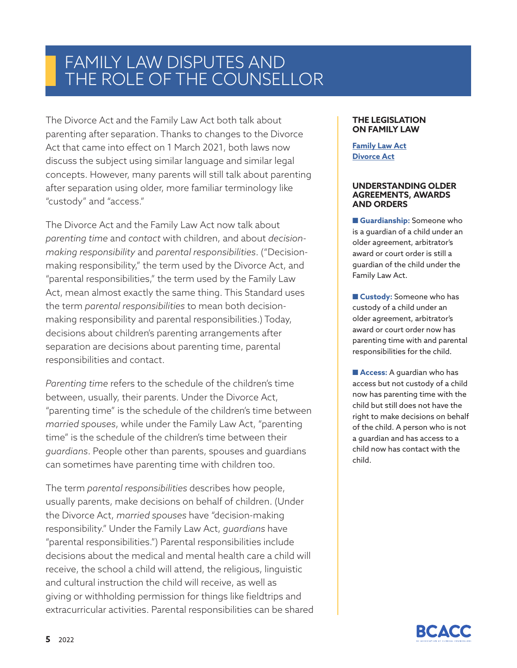The Divorce Act and the Family Law Act both talk about parenting after separation. Thanks to changes to the Divorce Act that came into effect on 1 March 2021, both laws now discuss the subject using similar language and similar legal concepts. However, many parents will still talk about parenting after separation using older, more familiar terminology like "custody" and "access."

The Divorce Act and the Family Law Act now talk about *parenting time* and *contact* with children, and about *decisionmaking responsibility* and *parental responsibilities*. ("Decisionmaking responsibility," the term used by the Divorce Act, and "parental responsibilities," the term used by the Family Law Act, mean almost exactly the same thing. This Standard uses the term *parental responsibilities* to mean both decisionmaking responsibility and parental responsibilities.) Today, decisions about children's parenting arrangements after separation are decisions about parenting time, parental responsibilities and contact.

*Parenting time* refers to the schedule of the children's time between, usually, their parents. Under the Divorce Act, "parenting time" is the schedule of the children's time between *married spouses*, while under the Family Law Act, "parenting time" is the schedule of the children's time between their *guardians*. People other than parents, spouses and guardians can sometimes have parenting time with children too.

The term *parental responsibilities* describes how people, usually parents, make decisions on behalf of children. (Under the Divorce Act, *married spouses* have "decision-making responsibility." Under the Family Law Act, *guardians* have "parental responsibilities.") Parental responsibilities include decisions about the medical and mental health care a child will receive, the school a child will attend, the religious, linguistic and cultural instruction the child will receive, as well as giving or withholding permission for things like fieldtrips and extracurricular activities. Parental responsibilities can be shared

#### **THE LEGISLATION ON FAMILY LAW**

#### **Family Law Act Divorce Act**

#### **UNDERSTANDING OLDER AGREEMENTS, AWARDS AND ORDERS**

■ Guardianship: Someone who is a guardian of a child under an older agreement, arbitrator's award or court order is still a guardian of the child under the Family Law Act.

■ **Custody:** Someone who has custody of a child under an older agreement, arbitrator's award or court order now has parenting time with and parental responsibilities for the child.

■ **Access:** A guardian who has access but not custody of a child now has parenting time with the child but still does not have the right to make decisions on behalf of the child. A person who is not a guardian and has access to a child now has contact with the child.

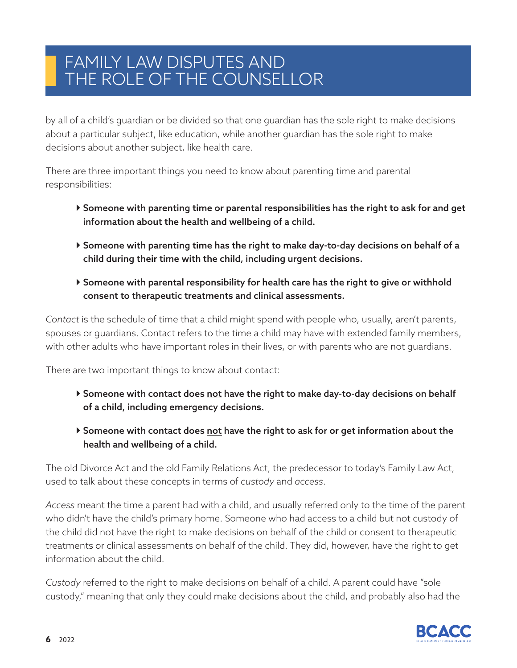by all of a child's guardian or be divided so that one guardian has the sole right to make decisions about a particular subject, like education, while another guardian has the sole right to make decisions about another subject, like health care.

There are three important things you need to know about parenting time and parental responsibilities:

- Someone with parenting time or parental responsibilities has the right to ask for and get information about the health and wellbeing of a child.
- Someone with parenting time has the right to make day-to-day decisions on behalf of a child during their time with the child, including urgent decisions.
- Someone with parental responsibility for health care has the right to give or withhold consent to therapeutic treatments and clinical assessments.

*Contact* is the schedule of time that a child might spend with people who, usually, aren't parents, spouses or guardians. Contact refers to the time a child may have with extended family members, with other adults who have important roles in their lives, or with parents who are not guardians.

There are two important things to know about contact:

- Someone with contact does not have the right to make day-to-day decisions on behalf of a child, including emergency decisions.
- Someone with contact does not have the right to ask for or get information about the health and wellbeing of a child.

The old Divorce Act and the old Family Relations Act, the predecessor to today's Family Law Act, used to talk about these concepts in terms of *custody* and *access*.

*Access* meant the time a parent had with a child, and usually referred only to the time of the parent who didn't have the child's primary home. Someone who had access to a child but not custody of the child did not have the right to make decisions on behalf of the child or consent to therapeutic treatments or clinical assessments on behalf of the child. They did, however, have the right to get information about the child.

*Custody* referred to the right to make decisions on behalf of a child. A parent could have "sole custody," meaning that only they could make decisions about the child, and probably also had the

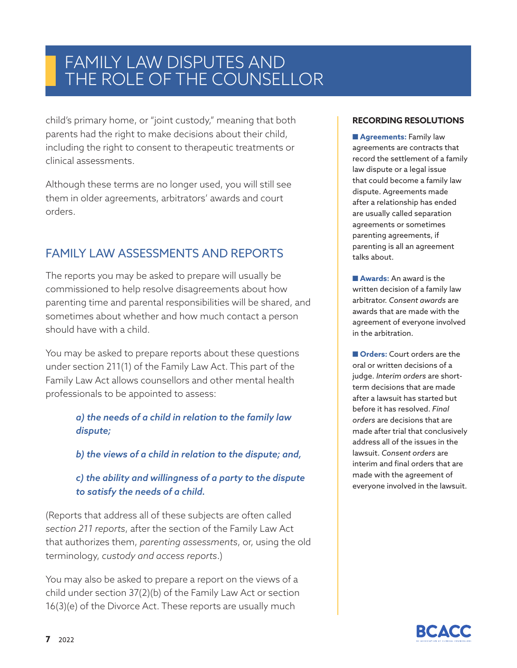child's primary home, or "joint custody," meaning that both parents had the right to make decisions about their child, including the right to consent to therapeutic treatments or clinical assessments.

Although these terms are no longer used, you will still see them in older agreements, arbitrators' awards and court orders.

### FAMILY LAW ASSESSMENTS AND REPORTS

The reports you may be asked to prepare will usually be commissioned to help resolve disagreements about how parenting time and parental responsibilities will be shared, and sometimes about whether and how much contact a person should have with a child.

You may be asked to prepare reports about these questions under section 211(1) of the Family Law Act. This part of the Family Law Act allows counsellors and other mental health professionals to be appointed to assess:

#### *a) the needs of a child in relation to the family law dispute;*

*b) the views of a child in relation to the dispute; and,*

#### *c) the ability and willingness of a party to the dispute to satisfy the needs of a child.*

(Reports that address all of these subjects are often called *section 211 reports*, after the section of the Family Law Act that authorizes them, *parenting assessments*, or, using the old terminology, *custody and access reports*.)

You may also be asked to prepare a report on the views of a child under section 37(2)(b) of the Family Law Act or section 16(3)(e) of the Divorce Act. These reports are usually much

#### **RECORDING RESOLUTIONS**

■ Agreements: Family law agreements are contracts that record the settlement of a family law dispute or a legal issue that could become a family law dispute. Agreements made after a relationship has ended are usually called separation agreements or sometimes parenting agreements, if parenting is all an agreement talks about.

■**Awards:** An award is the written decision of a family law arbitrator. *Consent awards* are awards that are made with the agreement of everyone involved in the arbitration.

■ **Orders:** Court orders are the oral or written decisions of a judge. *Interim orders* are shortterm decisions that are made after a lawsuit has started but before it has resolved. *Final orders* are decisions that are made after trial that conclusively address all of the issues in the lawsuit. *Consent orders* are interim and final orders that are made with the agreement of everyone involved in the lawsuit.

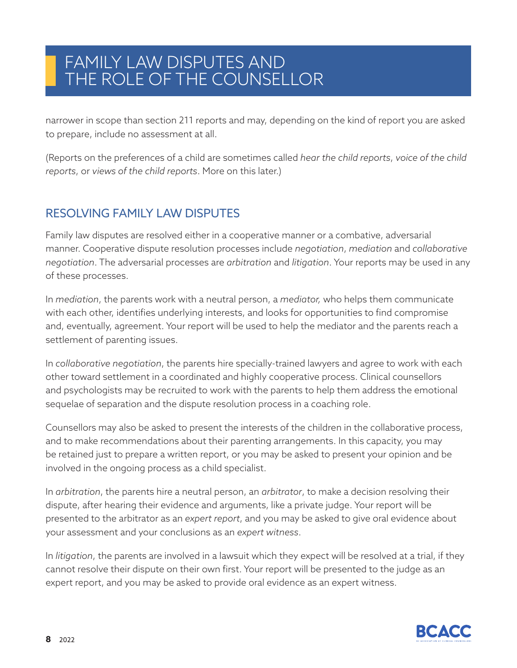narrower in scope than section 211 reports and may, depending on the kind of report you are asked to prepare, include no assessment at all.

(Reports on the preferences of a child are sometimes called *hear the child reports*, *voice of the child reports*, or *views of the child reports*. More on this later.)

### RESOLVING FAMILY LAW DISPUTES

Family law disputes are resolved either in a cooperative manner or a combative, adversarial manner. Cooperative dispute resolution processes include *negotiation*, *mediation* and *collaborative negotiation*. The adversarial processes are *arbitration* and *litigation*. Your reports may be used in any of these processes.

In *mediation*, the parents work with a neutral person, a *mediator,* who helps them communicate with each other, identifies underlying interests, and looks for opportunities to find compromise and, eventually, agreement. Your report will be used to help the mediator and the parents reach a settlement of parenting issues.

In *collaborative negotiation*, the parents hire specially-trained lawyers and agree to work with each other toward settlement in a coordinated and highly cooperative process. Clinical counsellors and psychologists may be recruited to work with the parents to help them address the emotional sequelae of separation and the dispute resolution process in a coaching role.

Counsellors may also be asked to present the interests of the children in the collaborative process, and to make recommendations about their parenting arrangements. In this capacity, you may be retained just to prepare a written report, or you may be asked to present your opinion and be involved in the ongoing process as a child specialist.

In *arbitration*, the parents hire a neutral person, an *arbitrator*, to make a decision resolving their dispute, after hearing their evidence and arguments, like a private judge. Your report will be presented to the arbitrator as an *expert report*, and you may be asked to give oral evidence about your assessment and your conclusions as an *expert witness*.

In *litigation*, the parents are involved in a lawsuit which they expect will be resolved at a trial, if they cannot resolve their dispute on their own first. Your report will be presented to the judge as an expert report, and you may be asked to provide oral evidence as an expert witness.

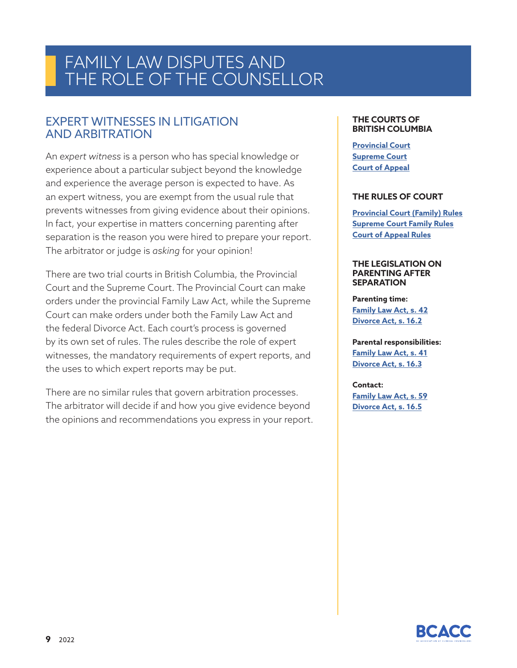#### EXPERT WITNESSES IN LITIGATION AND ARBITRATION

An *expert witness* is a person who has special knowledge or experience about a particular subject beyond the knowledge and experience the average person is expected to have. As an expert witness, you are exempt from the usual rule that prevents witnesses from giving evidence about their opinions. In fact, your expertise in matters concerning parenting after separation is the reason you were hired to prepare your report. The arbitrator or judge is *asking* for your opinion!

There are two trial courts in British Columbia, the Provincial Court and the Supreme Court. The Provincial Court can make orders under the provincial Family Law Act, while the Supreme Court can make orders under both the Family Law Act and the federal Divorce Act. Each court's process is governed by its own set of rules. The rules describe the role of expert witnesses, the mandatory requirements of expert reports, and the uses to which expert reports may be put.

There are no similar rules that govern arbitration processes. The arbitrator will decide if and how you give evidence beyond the opinions and recommendations you express in your report.

#### **THE COURTS OF BRITISH COLUMBIA**

**Provincial Court Supreme Court Court of Appeal**

#### **THE RULES OF COURT**

**Provincial Court (Family) Rules Supreme Court Family Rules Court of Appeal Rules**

#### **THE LEGISLATION ON PARENTING AFTER SEPARATION**

**Parenting time: Family Law Act, s. 42 Divorce Act, s. 16.2**

**Parental responsibilities: Family Law Act, s. 41 Divorce Act, s. 16.3**

**Contact: Family Law Act, s. 59 Divorce Act, s. 16.5**

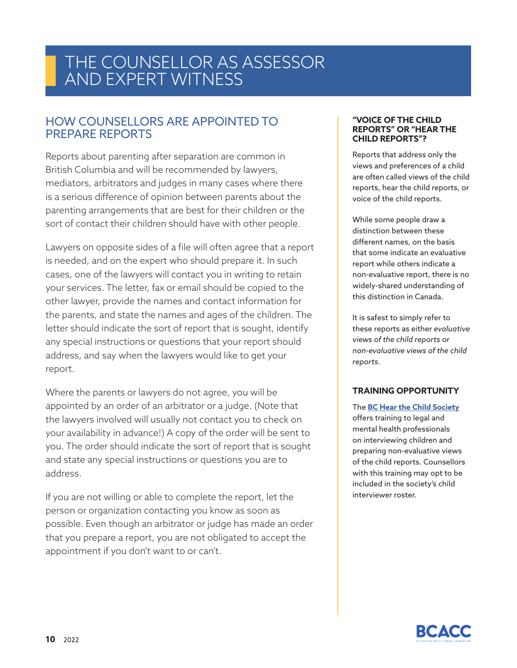#### HOW COUNSELLORS ARE APPOINTED TO PREPARE REPORTS

Reports about parenting after separation are common in British Columbia and will be recommended by lawyers, mediators, arbitrators and judges in many cases where there is a serious difference of opinion between parents about the parenting arrangements that are best for their children or the sort of contact their children should have with other people.

Lawyers on opposite sides of a file will often agree that a report is needed, and on the expert who should prepare it. In such cases, one of the lawyers will contact you in writing to retain your services. The letter, fax or email should be copied to the other lawyer, provide the names and contact information for the parents, and state the names and ages of the children. The letter should indicate the sort of report that is sought, identify any special instructions or questions that your report should address, and say when the lawyers would like to get your report.

Where the parents or lawyers do not agree, you will be appointed by an order of an arbitrator or a judge. (Note that the lawyers involved will usually not contact you to check on your availability in advance!) A copy of the order will be sent to you. The order should indicate the sort of report that is sought and state any special instructions or questions you are to address.

If you are not willing or able to complete the report, let the person or organization contacting you know as soon as possible. Even though an arbitrator or judge has made an order that you prepare a report, you are not obligated to accept the appointment if you don't want to or can't.

#### **"VOICE OF THE CHILD REPORTS" OR "HEAR THE CHILD REPORTS"?**

Reports that address only the views and preferences of a child are often called views of the child reports, hear the child reports, or voice of the child reports.

While some people draw a distinction between these different names, on the basis that some indicate an evaluative report while others indicate a non-evaluative report, there is no widely-shared understanding of this distinction in Canada.

It is safest to simply refer to these reports as either *evaluative views of the child reports* or *non-evaluative views of the child reports*.

#### **TRAINING OPPORTUNITY**

The **BC Hear the Child Society** offers training to legal and mental health professionals on interviewing children and preparing non-evaluative views of the child reports. Counsellors with this training may opt to be included in the society's child interviewer roster.

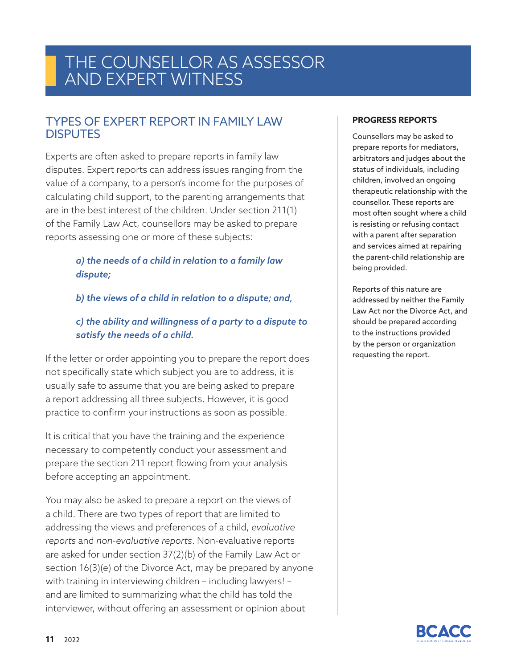#### TYPES OF EXPERT REPORT IN FAMILY LAW **DISPUTES**

Experts are often asked to prepare reports in family law disputes. Expert reports can address issues ranging from the value of a company, to a person's income for the purposes of calculating child support, to the parenting arrangements that are in the best interest of the children. Under section 211(1) of the Family Law Act, counsellors may be asked to prepare reports assessing one or more of these subjects:

#### *a) the needs of a child in relation to a family law dispute;*

*b) the views of a child in relation to a dispute; and,*

#### *c) the ability and willingness of a party to a dispute to satisfy the needs of a child.*

If the letter or order appointing you to prepare the report does not specifically state which subject you are to address, it is usually safe to assume that you are being asked to prepare a report addressing all three subjects. However, it is good practice to confirm your instructions as soon as possible.

It is critical that you have the training and the experience necessary to competently conduct your assessment and prepare the section 211 report flowing from your analysis before accepting an appointment.

You may also be asked to prepare a report on the views of a child. There are two types of report that are limited to addressing the views and preferences of a child, *evaluative reports* and *non-evaluative reports*. Non-evaluative reports are asked for under section 37(2)(b) of the Family Law Act or section 16(3)(e) of the Divorce Act, may be prepared by anyone with training in interviewing children – including lawyers! – and are limited to summarizing what the child has told the interviewer, without offering an assessment or opinion about

#### **PROGRESS REPORTS**

Counsellors may be asked to prepare reports for mediators, arbitrators and judges about the status of individuals, including children, involved an ongoing therapeutic relationship with the counsellor. These reports are most often sought where a child is resisting or refusing contact with a parent after separation and services aimed at repairing the parent-child relationship are being provided.

Reports of this nature are addressed by neither the Family Law Act nor the Divorce Act, and should be prepared according to the instructions provided by the person or organization requesting the report.

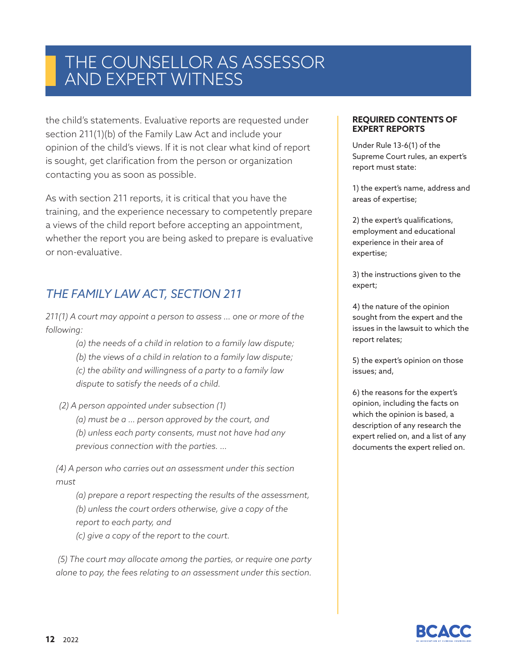the child's statements. Evaluative reports are requested under section 211(1)(b) of the Family Law Act and include your opinion of the child's views. If it is not clear what kind of report is sought, get clarification from the person or organization contacting you as soon as possible.

As with section 211 reports, it is critical that you have the training, and the experience necessary to competently prepare a views of the child report before accepting an appointment, whether the report you are being asked to prepare is evaluative or non-evaluative.

### *THE FAMILY LAW ACT, SECTION 211*

*211(1) A court may appoint a person to assess … one or more of the following:*

- *(a) the needs of a child in relation to a family law dispute;*
- *(b) the views of a child in relation to a family law dispute;*
- *(c) the ability and willingness of a party to a family law dispute to satisfy the needs of a child.*

 *(2) A person appointed under subsection (1)*

*(a) must be a … person approved by the court, and (b) unless each party consents, must not have had any previous connection with the parties. …*

 *(4) A person who carries out an assessment under this section must*

*(a) prepare a report respecting the results of the assessment, (b) unless the court orders otherwise, give a copy of the report to each party, and*

*(c) give a copy of the report to the court.*

 *(5) The court may allocate among the parties, or require one party alone to pay, the fees relating to an assessment under this section.*

#### **REQUIRED CONTENTS OF EXPERT REPORTS**

Under Rule 13-6(1) of the Supreme Court rules, an expert's report must state:

1) the expert's name, address and areas of expertise;

2) the expert's qualifications, employment and educational experience in their area of expertise;

3) the instructions given to the expert;

4) the nature of the opinion sought from the expert and the issues in the lawsuit to which the report relates;

5) the expert's opinion on those issues; and,

6) the reasons for the expert's opinion, including the facts on which the opinion is based, a description of any research the expert relied on, and a list of any documents the expert relied on.

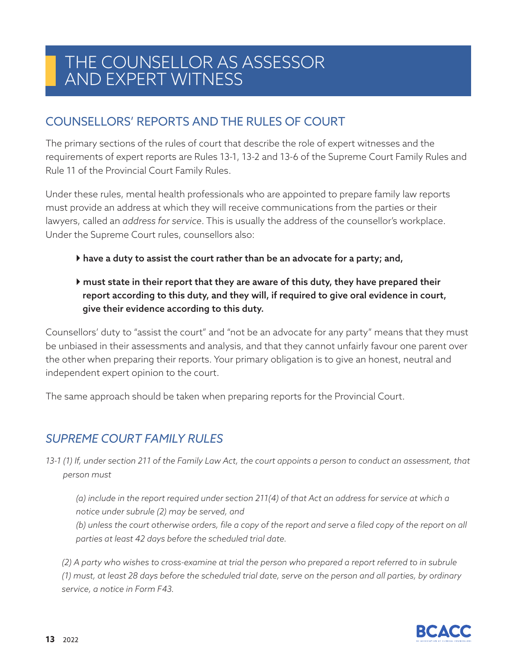### COUNSELLORS' REPORTS AND THE RULES OF COURT

The primary sections of the rules of court that describe the role of expert witnesses and the requirements of expert reports are Rules 13-1, 13-2 and 13-6 of the Supreme Court Family Rules and Rule 11 of the Provincial Court Family Rules.

Under these rules, mental health professionals who are appointed to prepare family law reports must provide an address at which they will receive communications from the parties or their lawyers, called an *address for service*. This is usually the address of the counsellor's workplace. Under the Supreme Court rules, counsellors also:

- have a duty to assist the court rather than be an advocate for a party; and,
- $\blacktriangleright$  must state in their report that they are aware of this duty, they have prepared their report according to this duty, and they will, if required to give oral evidence in court, give their evidence according to this duty.

Counsellors' duty to "assist the court" and "not be an advocate for any party" means that they must be unbiased in their assessments and analysis, and that they cannot unfairly favour one parent over the other when preparing their reports. Your primary obligation is to give an honest, neutral and independent expert opinion to the court.

The same approach should be taken when preparing reports for the Provincial Court.

### *SUPREME COURT FAMILY RULES*

13-1 (1) If, under section 211 of the Family Law Act, the court appoints a person to conduct an assessment, that *person must*

*(a) include in the report required under section 211(4) of that Act an address for service at which a notice under subrule (2) may be served, and*

*(b) unless the court otherwise orders, file a copy of the report and serve a filed copy of the report on all parties at least 42 days before the scheduled trial date.*

 *(2) A party who wishes to cross-examine at trial the person who prepared a report referred to in subrule (1) must, at least 28 days before the scheduled trial date, serve on the person and all parties, by ordinary service, a notice in Form F43.*

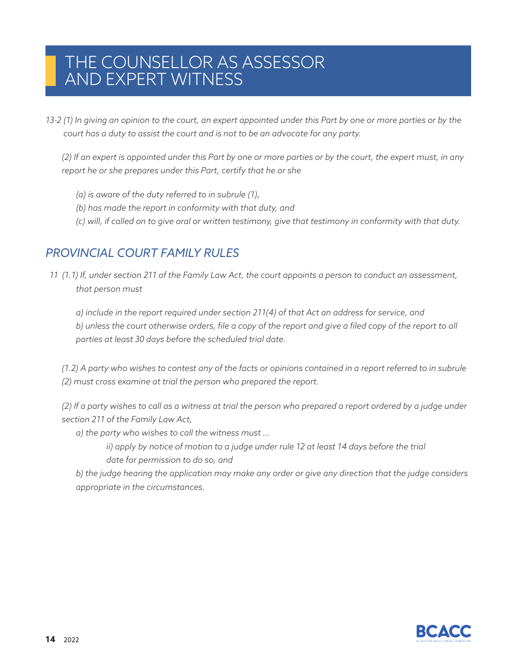13-2 (1) In giving an opinion to the court, an expert appointed under this Part by one or more parties or by the *court has a duty to assist the court and is not to be an advocate for any party.*

 *(2) If an expert is appointed under this Part by one or more parties or by the court, the expert must, in any report he or she prepares under this Part, certify that he or she*

- *(a) is aware of the duty referred to in subrule (1),*
- *(b) has made the report in conformity with that duty, and*
- *(c) will, if called on to give oral or written testimony, give that testimony in conformity with that duty.*

### *PROVINCIAL COURT FAMILY RULES*

*11 (1.1) If, under section 211 of the Family Law Act, the court appoints a person to conduct an assessment, that person must*

*a) include in the report required under section 211(4) of that Act an address for service, and b) unless the court otherwise orders, file a copy of the report and give a filed copy of the report to all parties at least 30 days before the scheduled trial date.*

 *(1.2) A party who wishes to contest any of the facts or opinions contained in a report referred to in subrule (2) must cross examine at trial the person who prepared the report.*

 *(2) If a party wishes to call as a witness at trial the person who prepared a report ordered by a judge under section 211 of the Family Law Act,* 

*a) the party who wishes to call the witness must …* 

*ii*) apply by notice of motion to a judge under rule 12 at least 14 days before the trial *date for permission to do so, and*

*b) the judge hearing the application may make any order or give any direction that the judge considers appropriate in the circumstances.*

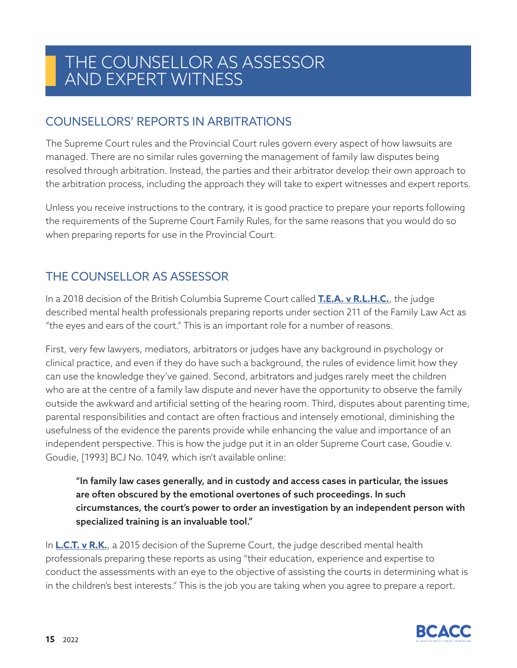### COUNSELLORS' REPORTS IN ARBITRATIONS

The Supreme Court rules and the Provincial Court rules govern every aspect of how lawsuits are managed. There are no similar rules governing the management of family law disputes being resolved through arbitration. Instead, the parties and their arbitrator develop their own approach to the arbitration process, including the approach they will take to expert witnesses and expert reports.

Unless you receive instructions to the contrary, it is good practice to prepare your reports following the requirements of the Supreme Court Family Rules, for the same reasons that you would do so when preparing reports for use in the Provincial Court.

### THE COUNSELLOR AS ASSESSOR

In a 2018 decision of the British Columbia Supreme Court called **T.E.A. v R.L.H.C.**, the judge described mental health professionals preparing reports under section 211 of the Family Law Act as "the eyes and ears of the court." This is an important role for a number of reasons.

First, very few lawyers, mediators, arbitrators or judges have any background in psychology or clinical practice, and even if they do have such a background, the rules of evidence limit how they can use the knowledge they've gained. Second, arbitrators and judges rarely meet the children who are at the centre of a family law dispute and never have the opportunity to observe the family outside the awkward and artificial setting of the hearing room. Third, disputes about parenting time, parental responsibilities and contact are often fractious and intensely emotional, diminishing the usefulness of the evidence the parents provide while enhancing the value and importance of an independent perspective. This is how the judge put it in an older Supreme Court case, Goudie v. Goudie, [1993] BCJ No. 1049, which isn't available online:

"In family law cases generally, and in custody and access cases in particular, the issues are often obscured by the emotional overtones of such proceedings. In such circumstances, the court's power to order an investigation by an independent person with specialized training is an invaluable tool."

In **L.C.T. v R.K.**, a 2015 decision of the Supreme Court, the judge described mental health professionals preparing these reports as using "their education, experience and expertise to conduct the assessments with an eye to the objective of assisting the courts in determining what is in the children's best interests." This is the job you are taking when you agree to prepare a report.

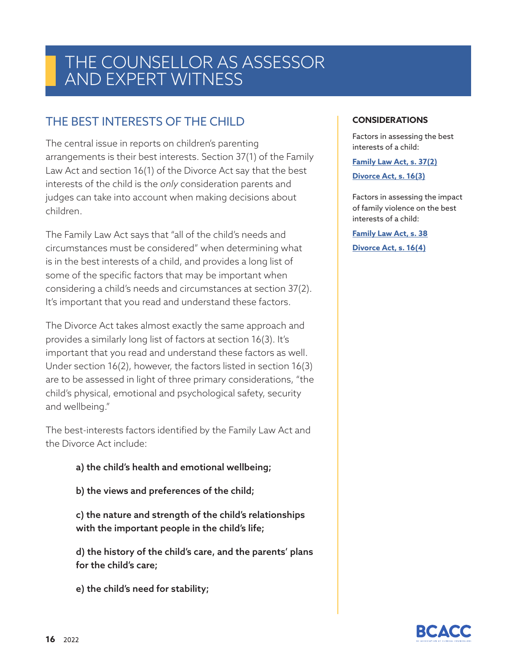### THE BEST INTERESTS OF THE CHILD

The central issue in reports on children's parenting arrangements is their best interests. Section 37(1) of the Family Law Act and section 16(1) of the Divorce Act say that the best interests of the child is the *only* consideration parents and judges can take into account when making decisions about children.

The Family Law Act says that "all of the child's needs and circumstances must be considered" when determining what is in the best interests of a child, and provides a long list of some of the specific factors that may be important when considering a child's needs and circumstances at section 37(2). It's important that you read and understand these factors.

The Divorce Act takes almost exactly the same approach and provides a similarly long list of factors at section 16(3). It's important that you read and understand these factors as well. Under section 16(2), however, the factors listed in section 16(3) are to be assessed in light of three primary considerations, "the child's physical, emotional and psychological safety, security and wellbeing."

The best-interests factors identified by the Family Law Act and the Divorce Act include:

- a) the child's health and emotional wellbeing;
- b) the views and preferences of the child;

c) the nature and strength of the child's relationships with the important people in the child's life;

d) the history of the child's care, and the parents' plans for the child's care;

e) the child's need for stability;

#### **CONSIDERATIONS**

Factors in assessing the best interests of a child:

**Family Law Act, s. 37(2)**

**Divorce Act, s. 16(3)**

Factors in assessing the impact of family violence on the best interests of a child: **Family Law Act, s. 38**

**Divorce Act, s. 16(4)**

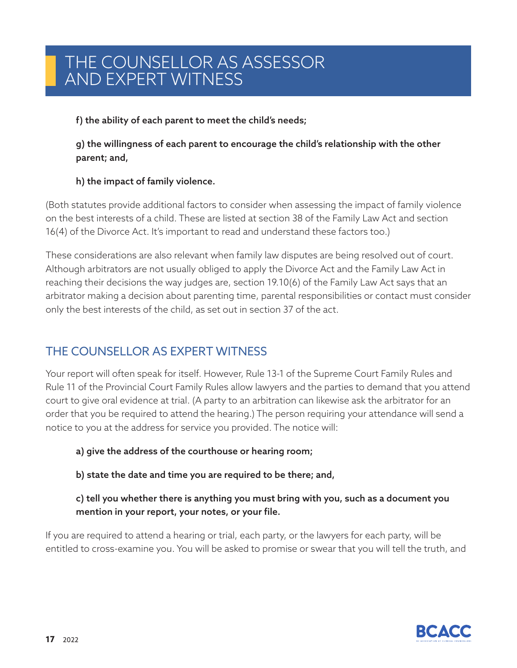#### f) the ability of each parent to meet the child's needs;

g) the willingness of each parent to encourage the child's relationship with the other parent; and,

#### h) the impact of family violence.

(Both statutes provide additional factors to consider when assessing the impact of family violence on the best interests of a child. These are listed at section 38 of the Family Law Act and section 16(4) of the Divorce Act. It's important to read and understand these factors too.)

These considerations are also relevant when family law disputes are being resolved out of court. Although arbitrators are not usually obliged to apply the Divorce Act and the Family Law Act in reaching their decisions the way judges are, section 19.10(6) of the Family Law Act says that an arbitrator making a decision about parenting time, parental responsibilities or contact must consider only the best interests of the child, as set out in section 37 of the act.

### THE COUNSELLOR AS EXPERT WITNESS

Your report will often speak for itself. However, Rule 13-1 of the Supreme Court Family Rules and Rule 11 of the Provincial Court Family Rules allow lawyers and the parties to demand that you attend court to give oral evidence at trial. (A party to an arbitration can likewise ask the arbitrator for an order that you be required to attend the hearing.) The person requiring your attendance will send a notice to you at the address for service you provided. The notice will:

a) give the address of the courthouse or hearing room;

b) state the date and time you are required to be there; and,

c) tell you whether there is anything you must bring with you, such as a document you mention in your report, your notes, or your file.

If you are required to attend a hearing or trial, each party, or the lawyers for each party, will be entitled to cross-examine you. You will be asked to promise or swear that you will tell the truth, and

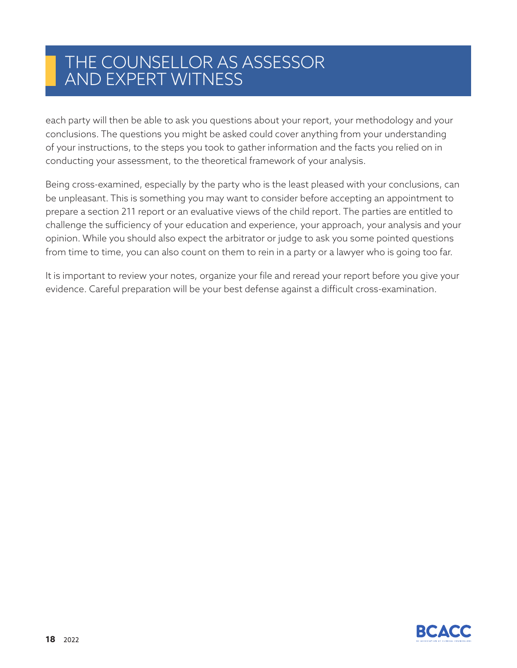each party will then be able to ask you questions about your report, your methodology and your conclusions. The questions you might be asked could cover anything from your understanding of your instructions, to the steps you took to gather information and the facts you relied on in conducting your assessment, to the theoretical framework of your analysis.

Being cross-examined, especially by the party who is the least pleased with your conclusions, can be unpleasant. This is something you may want to consider before accepting an appointment to prepare a section 211 report or an evaluative views of the child report. The parties are entitled to challenge the sufficiency of your education and experience, your approach, your analysis and your opinion. While you should also expect the arbitrator or judge to ask you some pointed questions from time to time, you can also count on them to rein in a party or a lawyer who is going too far.

It is important to review your notes, organize your file and reread your report before you give your evidence. Careful preparation will be your best defense against a difficult cross-examination.

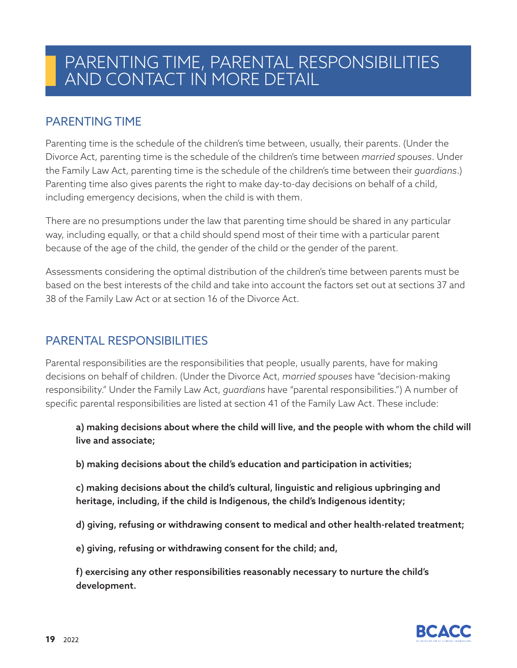### PARENTING TIME

Parenting time is the schedule of the children's time between, usually, their parents. (Under the Divorce Act, parenting time is the schedule of the children's time between *married spouses*. Under the Family Law Act, parenting time is the schedule of the children's time between their *guardians*.) Parenting time also gives parents the right to make day-to-day decisions on behalf of a child, including emergency decisions, when the child is with them.

There are no presumptions under the law that parenting time should be shared in any particular way, including equally, or that a child should spend most of their time with a particular parent because of the age of the child, the gender of the child or the gender of the parent.

Assessments considering the optimal distribution of the children's time between parents must be based on the best interests of the child and take into account the factors set out at sections 37 and 38 of the Family Law Act or at section 16 of the Divorce Act.

### PARENTAL RESPONSIBILITIES

Parental responsibilities are the responsibilities that people, usually parents, have for making decisions on behalf of children. (Under the Divorce Act, *married spouses* have "decision-making responsibility." Under the Family Law Act, *guardians* have "parental responsibilities.") A number of specific parental responsibilities are listed at section 41 of the Family Law Act. These include:

a) making decisions about where the child will live, and the people with whom the child will live and associate;

b) making decisions about the child's education and participation in activities;

c) making decisions about the child's cultural, linguistic and religious upbringing and heritage, including, if the child is Indigenous, the child's Indigenous identity;

d) giving, refusing or withdrawing consent to medical and other health-related treatment;

e) giving, refusing or withdrawing consent for the child; and,

f) exercising any other responsibilities reasonably necessary to nurture the child's development.

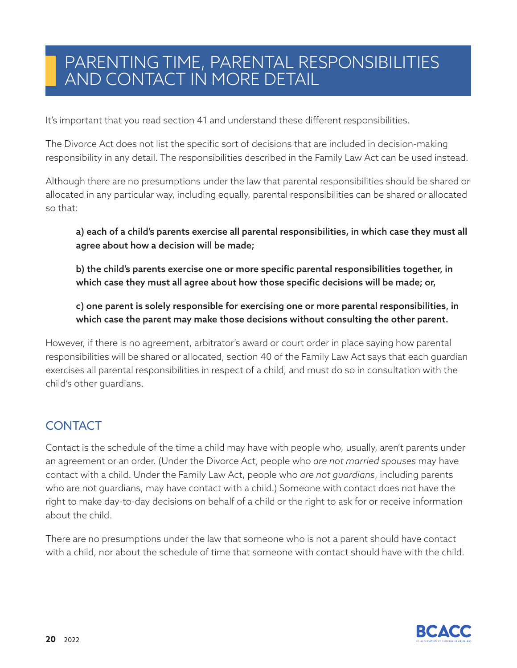It's important that you read section 41 and understand these different responsibilities.

The Divorce Act does not list the specific sort of decisions that are included in decision-making responsibility in any detail. The responsibilities described in the Family Law Act can be used instead.

Although there are no presumptions under the law that parental responsibilities should be shared or allocated in any particular way, including equally, parental responsibilities can be shared or allocated so that:

a) each of a child's parents exercise all parental responsibilities, in which case they must all agree about how a decision will be made;

b) the child's parents exercise one or more specific parental responsibilities together, in which case they must all agree about how those specific decisions will be made; or,

c) one parent is solely responsible for exercising one or more parental responsibilities, in which case the parent may make those decisions without consulting the other parent.

However, if there is no agreement, arbitrator's award or court order in place saying how parental responsibilities will be shared or allocated, section 40 of the Family Law Act says that each guardian exercises all parental responsibilities in respect of a child, and must do so in consultation with the child's other guardians.

### **CONTACT**

Contact is the schedule of the time a child may have with people who, usually, aren't parents under an agreement or an order. (Under the Divorce Act, people who *are not married spouses* may have contact with a child. Under the Family Law Act, people who *are not guardians*, including parents who are not guardians, may have contact with a child.) Someone with contact does not have the right to make day-to-day decisions on behalf of a child or the right to ask for or receive information about the child.

There are no presumptions under the law that someone who is not a parent should have contact with a child, nor about the schedule of time that someone with contact should have with the child.

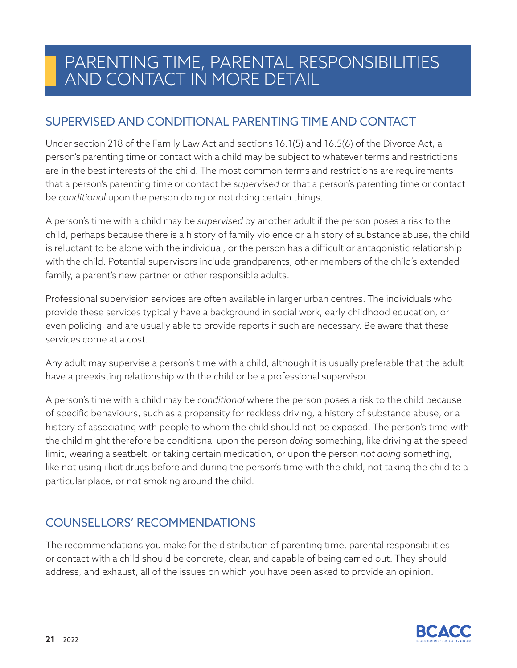### SUPERVISED AND CONDITIONAL PARENTING TIME AND CONTACT

Under section 218 of the Family Law Act and sections 16.1(5) and 16.5(6) of the Divorce Act, a person's parenting time or contact with a child may be subject to whatever terms and restrictions are in the best interests of the child. The most common terms and restrictions are requirements that a person's parenting time or contact be *supervised* or that a person's parenting time or contact be *conditional* upon the person doing or not doing certain things.

A person's time with a child may be *supervised* by another adult if the person poses a risk to the child, perhaps because there is a history of family violence or a history of substance abuse, the child is reluctant to be alone with the individual, or the person has a difficult or antagonistic relationship with the child. Potential supervisors include grandparents, other members of the child's extended family, a parent's new partner or other responsible adults.

Professional supervision services are often available in larger urban centres. The individuals who provide these services typically have a background in social work, early childhood education, or even policing, and are usually able to provide reports if such are necessary. Be aware that these services come at a cost.

Any adult may supervise a person's time with a child, although it is usually preferable that the adult have a preexisting relationship with the child or be a professional supervisor.

A person's time with a child may be *conditional* where the person poses a risk to the child because of specific behaviours, such as a propensity for reckless driving, a history of substance abuse, or a history of associating with people to whom the child should not be exposed. The person's time with the child might therefore be conditional upon the person *doing* something, like driving at the speed limit, wearing a seatbelt, or taking certain medication, or upon the person *not doing* something, like not using illicit drugs before and during the person's time with the child, not taking the child to a particular place, or not smoking around the child.

### COUNSELLORS' RECOMMENDATIONS

The recommendations you make for the distribution of parenting time, parental responsibilities or contact with a child should be concrete, clear, and capable of being carried out. They should address, and exhaust, all of the issues on which you have been asked to provide an opinion.

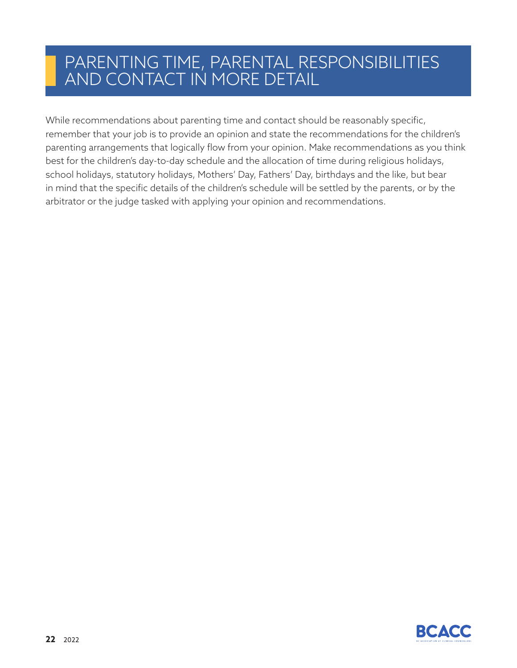While recommendations about parenting time and contact should be reasonably specific, remember that your job is to provide an opinion and state the recommendations for the children's parenting arrangements that logically flow from your opinion. Make recommendations as you think best for the children's day-to-day schedule and the allocation of time during religious holidays, school holidays, statutory holidays, Mothers' Day, Fathers' Day, birthdays and the like, but bear in mind that the specific details of the children's schedule will be settled by the parents, or by the arbitrator or the judge tasked with applying your opinion and recommendations.

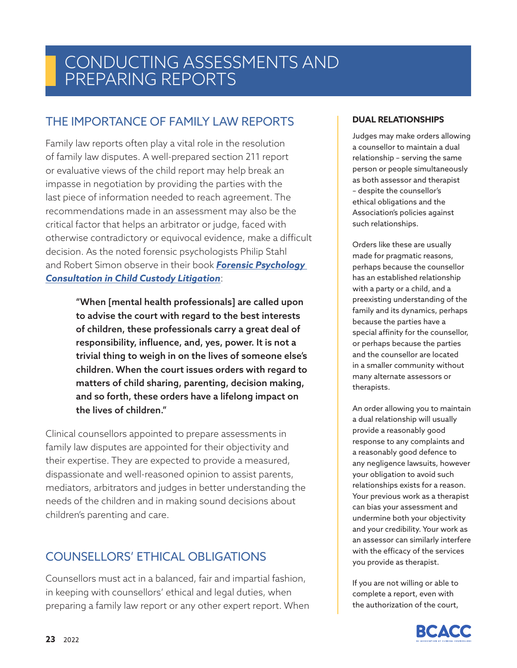### CONDUCTING ASSESSMENTS AND PREPARING REPORTS

### THE IMPORTANCE OF FAMILY LAW REPORTS

Family law reports often play a vital role in the resolution of family law disputes. A well-prepared section 211 report or evaluative views of the child report may help break an impasse in negotiation by providing the parties with the last piece of information needed to reach agreement. The recommendations made in an assessment may also be the critical factor that helps an arbitrator or judge, faced with otherwise contradictory or equivocal evidence, make a difficult decision. As the noted forensic psychologists Philip Stahl and Robert Simon observe in their book *Forensic Psychology Consultation in Child Custody Litigation*:

> "When [mental health professionals] are called upon to advise the court with regard to the best interests of children, these professionals carry a great deal of responsibility, influence, and, yes, power. It is not a trivial thing to weigh in on the lives of someone else's children. When the court issues orders with regard to matters of child sharing, parenting, decision making, and so forth, these orders have a lifelong impact on the lives of children."

Clinical counsellors appointed to prepare assessments in family law disputes are appointed for their objectivity and their expertise. They are expected to provide a measured, dispassionate and well-reasoned opinion to assist parents, mediators, arbitrators and judges in better understanding the needs of the children and in making sound decisions about children's parenting and care.

### COUNSELLORS' ETHICAL OBLIGATIONS

Counsellors must act in a balanced, fair and impartial fashion, in keeping with counsellors' ethical and legal duties, when preparing a family law report or any other expert report. When

#### **DUAL RELATIONSHIPS**

Judges may make orders allowing a counsellor to maintain a dual relationship – serving the same person or people simultaneously as both assessor and therapist – despite the counsellor's ethical obligations and the Association's policies against such relationships.

Orders like these are usually made for pragmatic reasons, perhaps because the counsellor has an established relationship with a party or a child, and a preexisting understanding of the family and its dynamics, perhaps because the parties have a special affinity for the counsellor, or perhaps because the parties and the counsellor are located in a smaller community without many alternate assessors or therapists.

An order allowing you to maintain a dual relationship will usually provide a reasonably good response to any complaints and a reasonably good defence to any negligence lawsuits, however your obligation to avoid such relationships exists for a reason. Your previous work as a therapist can bias your assessment and undermine both your objectivity and your credibility. Your work as an assessor can similarly interfere with the efficacy of the services you provide as therapist.

If you are not willing or able to complete a report, even with the authorization of the court,

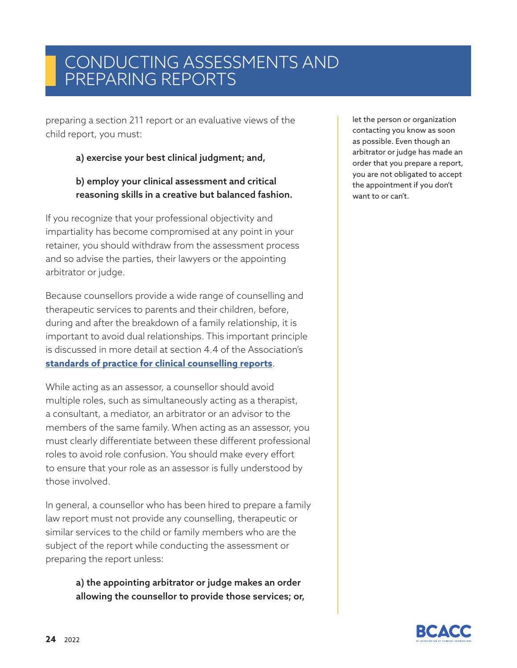# CONDUCTING ASSESSMENTS AND PREPARING REPORTS

preparing a section 211 report or an evaluative views of the child report, you must:

#### a) exercise your best clinical judgment; and,

#### b) employ your clinical assessment and critical reasoning skills in a creative but balanced fashion.

If you recognize that your professional objectivity and impartiality has become compromised at any point in your retainer, you should withdraw from the assessment process and so advise the parties, their lawyers or the appointing arbitrator or judge.

Because counsellors provide a wide range of counselling and therapeutic services to parents and their children, before, during and after the breakdown of a family relationship, it is important to avoid dual relationships. This important principle is discussed in more detail at section 4.4 of the Association's **standards of practice for clinical counselling reports**.

While acting as an assessor, a counsellor should avoid multiple roles, such as simultaneously acting as a therapist, a consultant, a mediator, an arbitrator or an advisor to the members of the same family. When acting as an assessor, you must clearly differentiate between these different professional roles to avoid role confusion. You should make every effort to ensure that your role as an assessor is fully understood by those involved.

In general, a counsellor who has been hired to prepare a family law report must not provide any counselling, therapeutic or similar services to the child or family members who are the subject of the report while conducting the assessment or preparing the report unless:

> a) the appointing arbitrator or judge makes an order allowing the counsellor to provide those services; or,

let the person or organization contacting you know as soon as possible. Even though an arbitrator or judge has made an order that you prepare a report, you are not obligated to accept the appointment if you don't want to or can't.

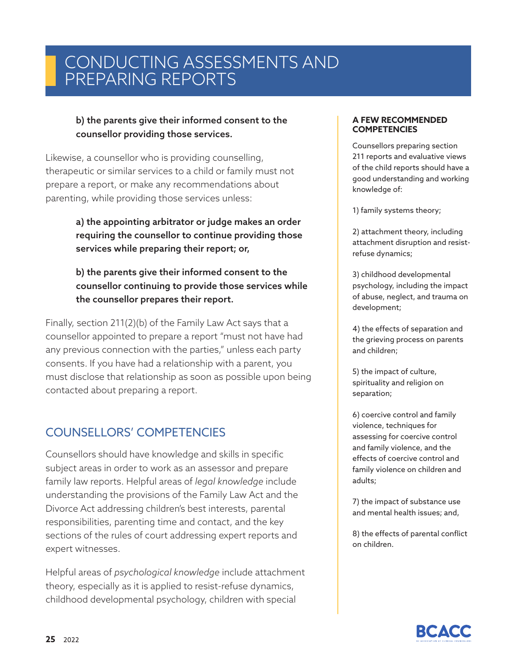# CONDUCTING ASSESSMENTS AND PREPARING REPORTS

#### b) the parents give their informed consent to the counsellor providing those services.

Likewise, a counsellor who is providing counselling, therapeutic or similar services to a child or family must not prepare a report, or make any recommendations about parenting, while providing those services unless:

> a) the appointing arbitrator or judge makes an order requiring the counsellor to continue providing those services while preparing their report; or,

b) the parents give their informed consent to the counsellor continuing to provide those services while the counsellor prepares their report.

Finally, section 211(2)(b) of the Family Law Act says that a counsellor appointed to prepare a report "must not have had any previous connection with the parties," unless each party consents. If you have had a relationship with a parent, you must disclose that relationship as soon as possible upon being contacted about preparing a report.

### COUNSELLORS' COMPETENCIES

Counsellors should have knowledge and skills in specific subject areas in order to work as an assessor and prepare family law reports. Helpful areas of *legal knowledge* include understanding the provisions of the Family Law Act and the Divorce Act addressing children's best interests, parental responsibilities, parenting time and contact, and the key sections of the rules of court addressing expert reports and expert witnesses.

Helpful areas of *psychological knowledge* include attachment theory, especially as it is applied to resist-refuse dynamics, childhood developmental psychology, children with special

#### **A FEW RECOMMENDED COMPETENCIES**

Counsellors preparing section 211 reports and evaluative views of the child reports should have a good understanding and working knowledge of:

1) family systems theory;

2) attachment theory, including attachment disruption and resistrefuse dynamics;

3) childhood developmental psychology, including the impact of abuse, neglect, and trauma on development;

4) the effects of separation and the grieving process on parents and children;

5) the impact of culture, spirituality and religion on separation;

6) coercive control and family violence, techniques for assessing for coercive control and family violence, and the effects of coercive control and family violence on children and adults;

7) the impact of substance use and mental health issues; and,

8) the effects of parental conflict on children.

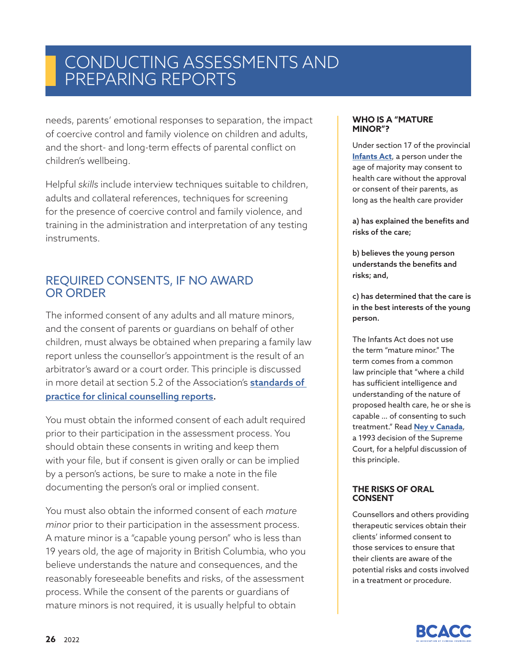# CONDUCTING ASSESSMENTS AND PREPARING REPORTS

needs, parents' emotional responses to separation, the impact of coercive control and family violence on children and adults, and the short- and long-term effects of parental conflict on children's wellbeing.

Helpful *skills* include interview techniques suitable to children, adults and collateral references, techniques for screening for the presence of coercive control and family violence, and training in the administration and interpretation of any testing instruments.

#### REQUIRED CONSENTS, IF NO AWARD OR ORDER

The informed consent of any adults and all mature minors, and the consent of parents or guardians on behalf of other children, must always be obtained when preparing a family law report unless the counsellor's appointment is the result of an arbitrator's award or a court order. This principle is discussed in more detail at section 5.2 of the Association's **standards of** practice for clinical counselling reports.

You must obtain the informed consent of each adult required prior to their participation in the assessment process. You should obtain these consents in writing and keep them with your file, but if consent is given orally or can be implied by a person's actions, be sure to make a note in the file documenting the person's oral or implied consent.

You must also obtain the informed consent of each *mature minor* prior to their participation in the assessment process. A mature minor is a "capable young person" who is less than 19 years old, the age of majority in British Columbia, who you believe understands the nature and consequences, and the reasonably foreseeable benefits and risks, of the assessment process. While the consent of the parents or guardians of mature minors is not required, it is usually helpful to obtain

#### **WHO IS A "MATURE MINOR"?**

Under section 17 of the provincial **Infants Act**, a person under the age of majority may consent to health care without the approval or consent of their parents, as long as the health care provider

a) has explained the benefits and risks of the care;

b) believes the young person understands the benefits and risks; and,

c) has determined that the care is in the best interests of the young person.

The Infants Act does not use the term "mature minor." The term comes from a common law principle that "where a child has sufficient intelligence and understanding of the nature of proposed health care, he or she is capable … of consenting to such treatment." Read **Ney v Canada**, a 1993 decision of the Supreme Court, for a helpful discussion of this principle.

#### **THE RISKS OF ORAL CONSENT**

Counsellors and others providing therapeutic services obtain their clients' informed consent to those services to ensure that their clients are aware of the potential risks and costs involved in a treatment or procedure.

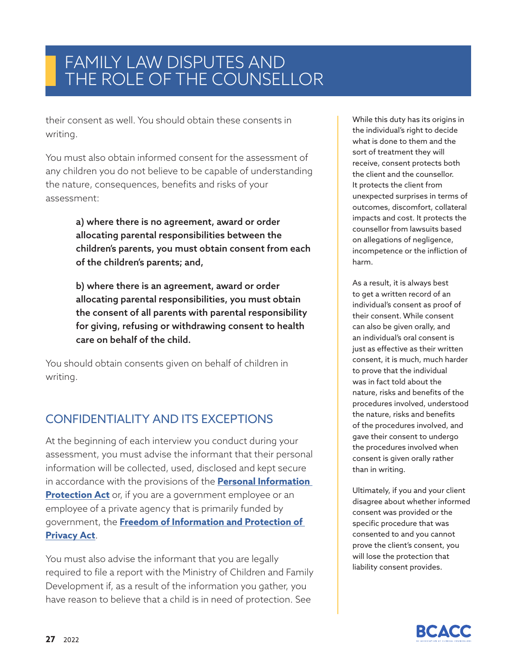their consent as well. You should obtain these consents in writing.

You must also obtain informed consent for the assessment of any children you do not believe to be capable of understanding the nature, consequences, benefits and risks of your assessment:

> a) where there is no agreement, award or order allocating parental responsibilities between the children's parents, you must obtain consent from each of the children's parents; and,

b) where there is an agreement, award or order allocating parental responsibilities, you must obtain the consent of all parents with parental responsibility for giving, refusing or withdrawing consent to health care on behalf of the child.

You should obtain consents given on behalf of children in writing.

### CONFIDENTIALITY AND ITS EXCEPTIONS

At the beginning of each interview you conduct during your assessment, you must advise the informant that their personal information will be collected, used, disclosed and kept secure in accordance with the provisions of the **Personal Information Protection Act** or, if you are a government employee or an employee of a private agency that is primarily funded by government, the **Freedom of Information and Protection of Privacy Act**.

You must also advise the informant that you are legally required to file a report with the Ministry of Children and Family Development if, as a result of the information you gather, you have reason to believe that a child is in need of protection. See

While this duty has its origins in the individual's right to decide what is done to them and the sort of treatment they will receive, consent protects both the client and the counsellor. It protects the client from unexpected surprises in terms of outcomes, discomfort, collateral impacts and cost. It protects the counsellor from lawsuits based on allegations of negligence, incompetence or the infliction of harm.

As a result, it is always best to get a written record of an individual's consent as proof of their consent. While consent can also be given orally, and an individual's oral consent is just as effective as their written consent, it is much, much harder to prove that the individual was in fact told about the nature, risks and benefits of the procedures involved, understood the nature, risks and benefits of the procedures involved, and gave their consent to undergo the procedures involved when consent is given orally rather than in writing.

Ultimately, if you and your client disagree about whether informed consent was provided or the specific procedure that was consented to and you cannot prove the client's consent, you will lose the protection that liability consent provides.

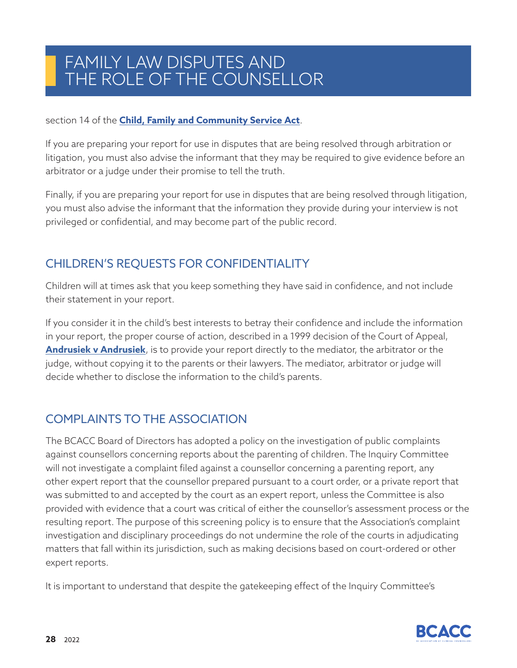#### section 14 of the **[Child, Family and Community Service Act](https://www.bclaws.gov.bc.ca/civix/document/id/complete/statreg/96046_01)**.

If you are preparing your report for use in disputes that are being resolved through arbitration or litigation, you must also advise the informant that they may be required to give evidence before an arbitrator or a judge under their promise to tell the truth.

Finally, if you are preparing your report for use in disputes that are being resolved through litigation, you must also advise the informant that the information they provide during your interview is not privileged or confidential, and may become part of the public record.

### CHILDREN'S REQUESTS FOR CONFIDENTIALITY

Children will at times ask that you keep something they have said in confidence, and not include their statement in your report.

If you consider it in the child's best interests to betray their confidence and include the information in your report, the proper course of action, described in a 1999 decision of the Court of Appeal, **Andrusiek v Andrusiek**, is to provide your report directly to the mediator, the arbitrator or the judge, without copying it to the parents or their lawyers. The mediator, arbitrator or judge will decide whether to disclose the information to the child's parents.

### COMPLAINTS TO THE ASSOCIATION

The BCACC Board of Directors has adopted a policy on the investigation of public complaints against counsellors concerning reports about the parenting of children. The Inquiry Committee will not investigate a complaint filed against a counsellor concerning a parenting report, any other expert report that the counsellor prepared pursuant to a court order, or a private report that was submitted to and accepted by the court as an expert report, unless the Committee is also provided with evidence that a court was critical of either the counsellor's assessment process or the resulting report. The purpose of this screening policy is to ensure that the Association's complaint investigation and disciplinary proceedings do not undermine the role of the courts in adjudicating matters that fall within its jurisdiction, such as making decisions based on court-ordered or other expert reports.

It is important to understand that despite the gatekeeping effect of the Inquiry Committee's

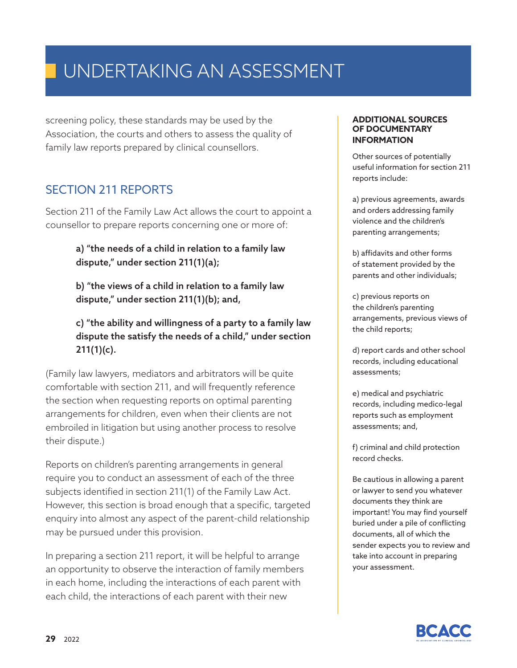screening policy, these standards may be used by the Association, the courts and others to assess the quality of family law reports prepared by clinical counsellors.

### SECTION 211 REPORTS

Section 211 of the Family Law Act allows the court to appoint a counsellor to prepare reports concerning one or more of:

#### a) "the needs of a child in relation to a family law dispute," under section 211(1)(a);

b) "the views of a child in relation to a family law dispute," under section 211(1)(b); and,

c) "the ability and willingness of a party to a family law dispute the satisfy the needs of a child," under section  $211(1)(c)$ .

(Family law lawyers, mediators and arbitrators will be quite comfortable with section 211, and will frequently reference the section when requesting reports on optimal parenting arrangements for children, even when their clients are not embroiled in litigation but using another process to resolve their dispute.)

Reports on children's parenting arrangements in general require you to conduct an assessment of each of the three subjects identified in section 211(1) of the Family Law Act. However, this section is broad enough that a specific, targeted enquiry into almost any aspect of the parent-child relationship may be pursued under this provision.

In preparing a section 211 report, it will be helpful to arrange an opportunity to observe the interaction of family members in each home, including the interactions of each parent with each child, the interactions of each parent with their new

#### **ADDITIONAL SOURCES OF DOCUMENTARY INFORMATION**

Other sources of potentially useful information for section 211 reports include:

a) previous agreements, awards and orders addressing family violence and the children's parenting arrangements;

b) affidavits and other forms of statement provided by the parents and other individuals;

c) previous reports on the children's parenting arrangements, previous views of the child reports;

d) report cards and other school records, including educational assessments;

e) medical and psychiatric records, including medico-legal reports such as employment assessments; and,

f) criminal and child protection record checks.

Be cautious in allowing a parent or lawyer to send you whatever documents they think are important! You may find yourself buried under a pile of conflicting documents, all of which the sender expects you to review and take into account in preparing your assessment.

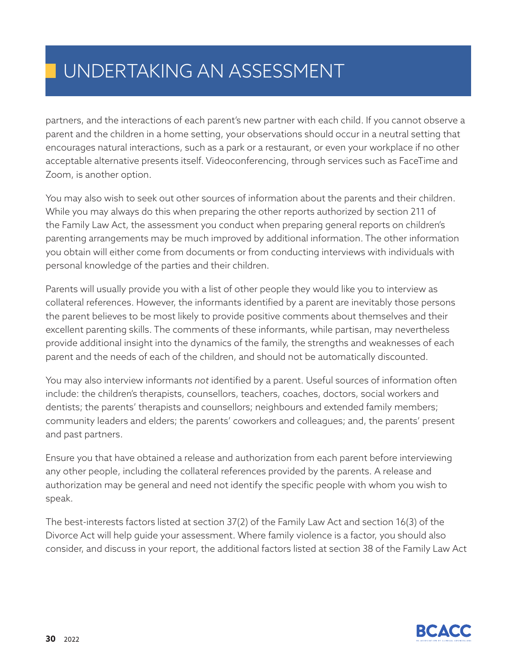partners, and the interactions of each parent's new partner with each child. If you cannot observe a parent and the children in a home setting, your observations should occur in a neutral setting that encourages natural interactions, such as a park or a restaurant, or even your workplace if no other acceptable alternative presents itself. Videoconferencing, through services such as FaceTime and Zoom, is another option.

You may also wish to seek out other sources of information about the parents and their children. While you may always do this when preparing the other reports authorized by section 211 of the Family Law Act, the assessment you conduct when preparing general reports on children's parenting arrangements may be much improved by additional information. The other information you obtain will either come from documents or from conducting interviews with individuals with personal knowledge of the parties and their children.

Parents will usually provide you with a list of other people they would like you to interview as collateral references. However, the informants identified by a parent are inevitably those persons the parent believes to be most likely to provide positive comments about themselves and their excellent parenting skills. The comments of these informants, while partisan, may nevertheless provide additional insight into the dynamics of the family, the strengths and weaknesses of each parent and the needs of each of the children, and should not be automatically discounted.

You may also interview informants *not* identified by a parent. Useful sources of information often include: the children's therapists, counsellors, teachers, coaches, doctors, social workers and dentists; the parents' therapists and counsellors; neighbours and extended family members; community leaders and elders; the parents' coworkers and colleagues; and, the parents' present and past partners.

Ensure you that have obtained a release and authorization from each parent before interviewing any other people, including the collateral references provided by the parents. A release and authorization may be general and need not identify the specific people with whom you wish to speak.

The best-interests factors listed at section 37(2) of the Family Law Act and section 16(3) of the Divorce Act will help guide your assessment. Where family violence is a factor, you should also consider, and discuss in your report, the additional factors listed at section 38 of the Family Law Act

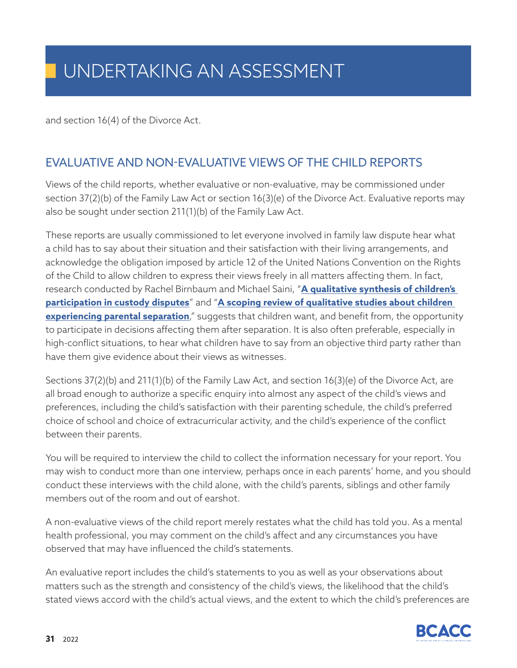and section 16(4) of the Divorce Act.

### EVALUATIVE AND NON-EVALUATIVE VIEWS OF THE CHILD REPORTS

Views of the child reports, whether evaluative or non-evaluative, may be commissioned under section 37(2)(b) of the Family Law Act or section 16(3)(e) of the Divorce Act. Evaluative reports may also be sought under section 211(1)(b) of the Family Law Act.

These reports are usually commissioned to let everyone involved in family law dispute hear what a child has to say about their situation and their satisfaction with their living arrangements, and acknowledge the obligation imposed by article 12 of the United Nations Convention on the Rights of the Child to allow children to express their views freely in all matters affecting them. In fact, research conducted by Rachel Birnbaum and Michael Saini, "**A qualitative synthesis of children's participation in custody disputes**" and "**A scoping review of qualitative studies about children experiencing parental separation**," suggests that children want, and benefit from, the opportunity to participate in decisions affecting them after separation. It is also often preferable, especially in high-conflict situations, to hear what children have to say from an objective third party rather than have them give evidence about their views as witnesses.

Sections 37(2)(b) and 211(1)(b) of the Family Law Act, and section 16(3)(e) of the Divorce Act, are all broad enough to authorize a specific enquiry into almost any aspect of the child's views and preferences, including the child's satisfaction with their parenting schedule, the child's preferred choice of school and choice of extracurricular activity, and the child's experience of the conflict between their parents.

You will be required to interview the child to collect the information necessary for your report. You may wish to conduct more than one interview, perhaps once in each parents' home, and you should conduct these interviews with the child alone, with the child's parents, siblings and other family members out of the room and out of earshot.

A non-evaluative views of the child report merely restates what the child has told you. As a mental health professional, you may comment on the child's affect and any circumstances you have observed that may have influenced the child's statements.

An evaluative report includes the child's statements to you as well as your observations about matters such as the strength and consistency of the child's views, the likelihood that the child's stated views accord with the child's actual views, and the extent to which the child's preferences are

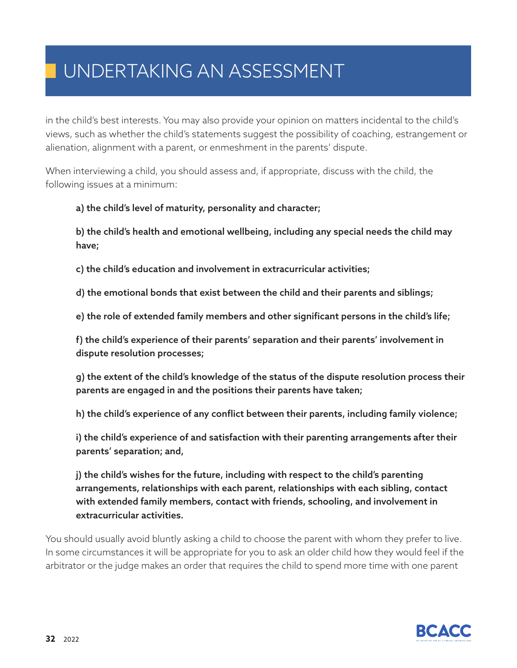in the child's best interests. You may also provide your opinion on matters incidental to the child's views, such as whether the child's statements suggest the possibility of coaching, estrangement or alienation, alignment with a parent, or enmeshment in the parents' dispute.

When interviewing a child, you should assess and, if appropriate, discuss with the child, the following issues at a minimum:

#### a) the child's level of maturity, personality and character;

b) the child's health and emotional wellbeing, including any special needs the child may have;

c) the child's education and involvement in extracurricular activities;

d) the emotional bonds that exist between the child and their parents and siblings;

e) the role of extended family members and other significant persons in the child's life;

f) the child's experience of their parents' separation and their parents' involvement in dispute resolution processes;

g) the extent of the child's knowledge of the status of the dispute resolution process their parents are engaged in and the positions their parents have taken;

h) the child's experience of any conflict between their parents, including family violence;

i) the child's experience of and satisfaction with their parenting arrangements after their parents' separation; and,

j) the child's wishes for the future, including with respect to the child's parenting arrangements, relationships with each parent, relationships with each sibling, contact with extended family members, contact with friends, schooling, and involvement in extracurricular activities.

You should usually avoid bluntly asking a child to choose the parent with whom they prefer to live. In some circumstances it will be appropriate for you to ask an older child how they would feel if the arbitrator or the judge makes an order that requires the child to spend more time with one parent

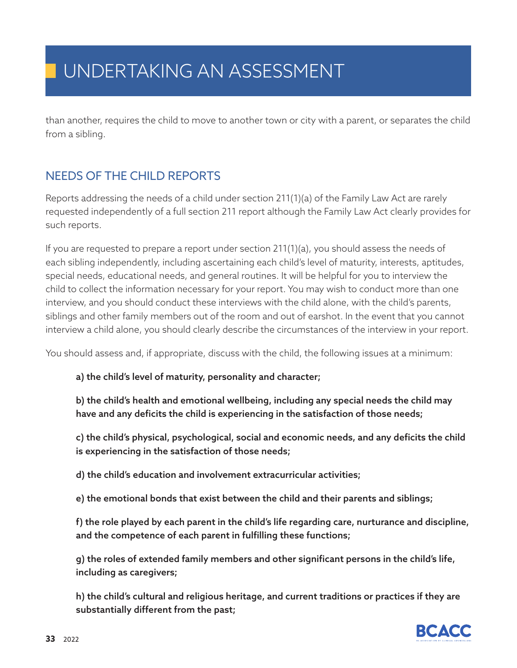than another, requires the child to move to another town or city with a parent, or separates the child from a sibling.

### NEEDS OF THE CHILD REPORTS

Reports addressing the needs of a child under section 211(1)(a) of the Family Law Act are rarely requested independently of a full section 211 report although the Family Law Act clearly provides for such reports.

If you are requested to prepare a report under section 211(1)(a), you should assess the needs of each sibling independently, including ascertaining each child's level of maturity, interests, aptitudes, special needs, educational needs, and general routines. It will be helpful for you to interview the child to collect the information necessary for your report. You may wish to conduct more than one interview, and you should conduct these interviews with the child alone, with the child's parents, siblings and other family members out of the room and out of earshot. In the event that you cannot interview a child alone, you should clearly describe the circumstances of the interview in your report.

You should assess and, if appropriate, discuss with the child, the following issues at a minimum:

a) the child's level of maturity, personality and character;

b) the child's health and emotional wellbeing, including any special needs the child may have and any deficits the child is experiencing in the satisfaction of those needs;

c) the child's physical, psychological, social and economic needs, and any deficits the child is experiencing in the satisfaction of those needs;

d) the child's education and involvement extracurricular activities;

e) the emotional bonds that exist between the child and their parents and siblings;

f) the role played by each parent in the child's life regarding care, nurturance and discipline, and the competence of each parent in fulfilling these functions;

g) the roles of extended family members and other significant persons in the child's life, including as caregivers;

h) the child's cultural and religious heritage, and current traditions or practices if they are substantially different from the past;

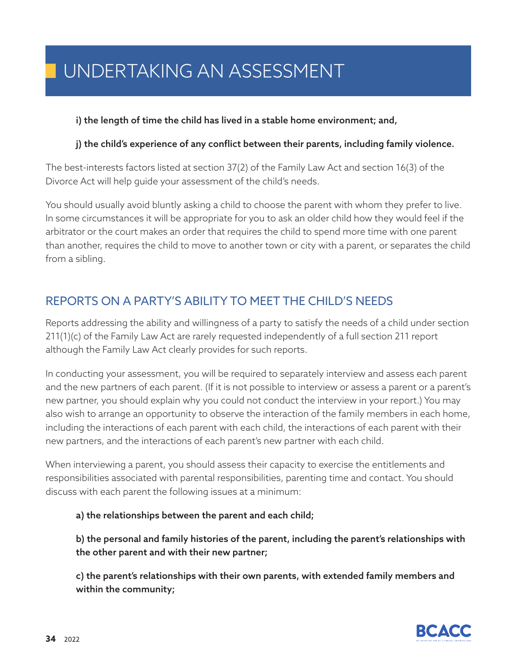#### i) the length of time the child has lived in a stable home environment; and,

#### j) the child's experience of any conflict between their parents, including family violence.

The best-interests factors listed at section 37(2) of the Family Law Act and section 16(3) of the Divorce Act will help guide your assessment of the child's needs.

You should usually avoid bluntly asking a child to choose the parent with whom they prefer to live. In some circumstances it will be appropriate for you to ask an older child how they would feel if the arbitrator or the court makes an order that requires the child to spend more time with one parent than another, requires the child to move to another town or city with a parent, or separates the child from a sibling.

### REPORTS ON A PARTY'S ABILITY TO MEET THE CHILD'S NEEDS

Reports addressing the ability and willingness of a party to satisfy the needs of a child under section 211(1)(c) of the Family Law Act are rarely requested independently of a full section 211 report although the Family Law Act clearly provides for such reports.

In conducting your assessment, you will be required to separately interview and assess each parent and the new partners of each parent. (If it is not possible to interview or assess a parent or a parent's new partner, you should explain why you could not conduct the interview in your report.) You may also wish to arrange an opportunity to observe the interaction of the family members in each home, including the interactions of each parent with each child, the interactions of each parent with their new partners, and the interactions of each parent's new partner with each child.

When interviewing a parent, you should assess their capacity to exercise the entitlements and responsibilities associated with parental responsibilities, parenting time and contact. You should discuss with each parent the following issues at a minimum:

#### a) the relationships between the parent and each child;

b) the personal and family histories of the parent, including the parent's relationships with the other parent and with their new partner;

c) the parent's relationships with their own parents, with extended family members and within the community;

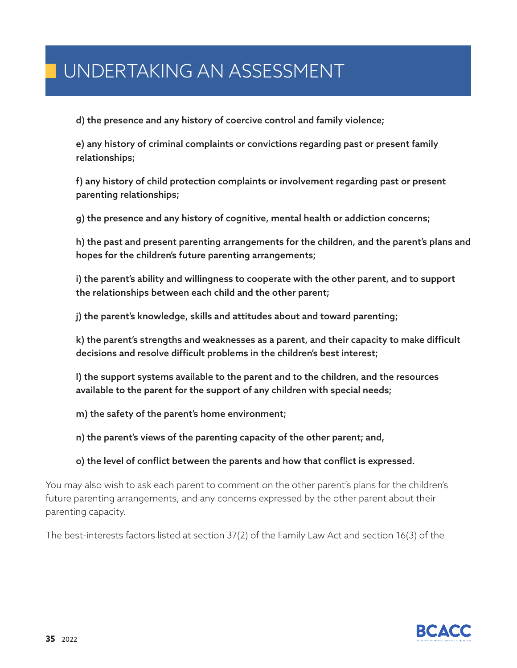d) the presence and any history of coercive control and family violence;

e) any history of criminal complaints or convictions regarding past or present family relationships;

f) any history of child protection complaints or involvement regarding past or present parenting relationships;

g) the presence and any history of cognitive, mental health or addiction concerns;

h) the past and present parenting arrangements for the children, and the parent's plans and hopes for the children's future parenting arrangements;

i) the parent's ability and willingness to cooperate with the other parent, and to support the relationships between each child and the other parent;

j) the parent's knowledge, skills and attitudes about and toward parenting;

k) the parent's strengths and weaknesses as a parent, and their capacity to make difficult decisions and resolve difficult problems in the children's best interest;

l) the support systems available to the parent and to the children, and the resources available to the parent for the support of any children with special needs;

m) the safety of the parent's home environment;

n) the parent's views of the parenting capacity of the other parent; and,

o) the level of conflict between the parents and how that conflict is expressed.

You may also wish to ask each parent to comment on the other parent's plans for the children's future parenting arrangements, and any concerns expressed by the other parent about their parenting capacity.

The best-interests factors listed at section 37(2) of the Family Law Act and section 16(3) of the

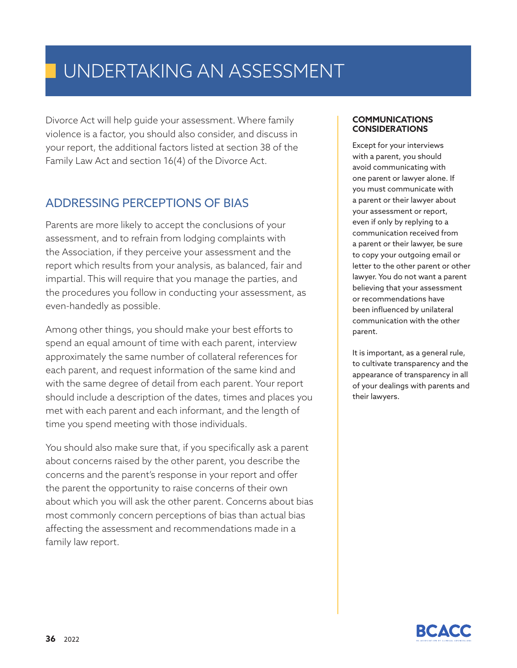Divorce Act will help guide your assessment. Where family violence is a factor, you should also consider, and discuss in your report, the additional factors listed at section 38 of the Family Law Act and section 16(4) of the Divorce Act.

### ADDRESSING PERCEPTIONS OF BIAS

Parents are more likely to accept the conclusions of your assessment, and to refrain from lodging complaints with the Association, if they perceive your assessment and the report which results from your analysis, as balanced, fair and impartial. This will require that you manage the parties, and the procedures you follow in conducting your assessment, as even-handedly as possible.

Among other things, you should make your best efforts to spend an equal amount of time with each parent, interview approximately the same number of collateral references for each parent, and request information of the same kind and with the same degree of detail from each parent. Your report should include a description of the dates, times and places you met with each parent and each informant, and the length of time you spend meeting with those individuals.

You should also make sure that, if you specifically ask a parent about concerns raised by the other parent, you describe the concerns and the parent's response in your report and offer the parent the opportunity to raise concerns of their own about which you will ask the other parent. Concerns about bias most commonly concern perceptions of bias than actual bias affecting the assessment and recommendations made in a family law report.

#### **COMMUNICATIONS CONSIDERATIONS**

Except for your interviews with a parent, you should avoid communicating with one parent or lawyer alone. If you must communicate with a parent or their lawyer about your assessment or report, even if only by replying to a communication received from a parent or their lawyer, be sure to copy your outgoing email or letter to the other parent or other lawyer. You do not want a parent believing that your assessment or recommendations have been influenced by unilateral communication with the other parent.

It is important, as a general rule, to cultivate transparency and the appearance of transparency in all of your dealings with parents and their lawyers.

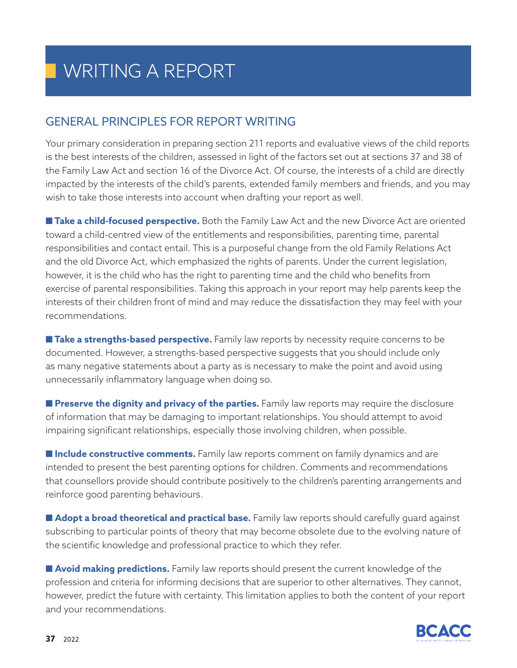### GENERAL PRINCIPLES FOR REPORT WRITING

Your primary consideration in preparing section 211 reports and evaluative views of the child reports is the best interests of the children, assessed in light of the factors set out at sections 37 and 38 of the Family Law Act and section 16 of the Divorce Act. Of course, the interests of a child are directly impacted by the interests of the child's parents, extended family members and friends, and you may wish to take those interests into account when drafting your report as well.

■ Take a child-focused perspective. Both the Family Law Act and the new Divorce Act are oriented toward a child-centred view of the entitlements and responsibilities, parenting time, parental responsibilities and contact entail. This is a purposeful change from the old Family Relations Act and the old Divorce Act, which emphasized the rights of parents. Under the current legislation, however, it is the child who has the right to parenting time and the child who benefits from exercise of parental responsibilities. Taking this approach in your report may help parents keep the interests of their children front of mind and may reduce the dissatisfaction they may feel with your recommendations.

■ **Take a strengths-based perspective.** Family law reports by necessity require concerns to be documented. However, a strengths-based perspective suggests that you should include only as many negative statements about a party as is necessary to make the point and avoid using unnecessarily inflammatory language when doing so.

■ **Preserve the dignity and privacy of the parties.** Family law reports may require the disclosure of information that may be damaging to important relationships. You should attempt to avoid impairing significant relationships, especially those involving children, when possible.

■ **Include constructive comments.** Family law reports comment on family dynamics and are intended to present the best parenting options for children. Comments and recommendations that counsellors provide should contribute positively to the children's parenting arrangements and reinforce good parenting behaviours.

■ **Adopt a broad theoretical and practical base.** Family law reports should carefully quard against subscribing to particular points of theory that may become obsolete due to the evolving nature of the scientific knowledge and professional practice to which they refer.

■ **Avoid making predictions.** Family law reports should present the current knowledge of the profession and criteria for informing decisions that are superior to other alternatives. They cannot, however, predict the future with certainty. This limitation applies to both the content of your report and your recommendations.

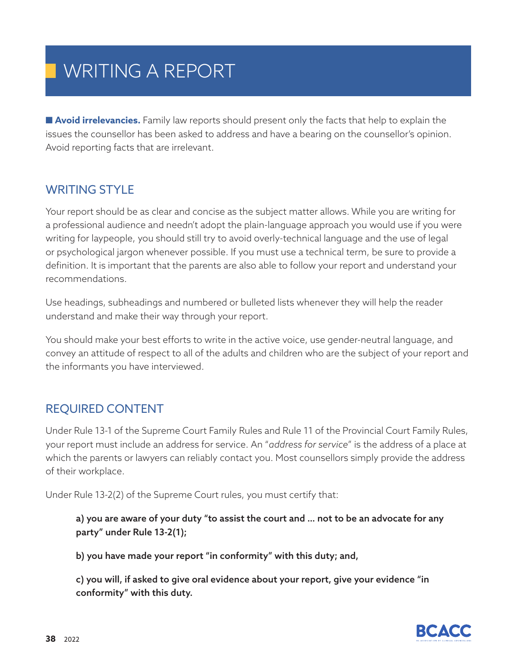■ **Avoid irrelevancies.** Family law reports should present only the facts that help to explain the issues the counsellor has been asked to address and have a bearing on the counsellor's opinion. Avoid reporting facts that are irrelevant.

### WRITING STYLE

Your report should be as clear and concise as the subject matter allows. While you are writing for a professional audience and needn't adopt the plain-language approach you would use if you were writing for laypeople, you should still try to avoid overly-technical language and the use of legal or psychological jargon whenever possible. If you must use a technical term, be sure to provide a definition. It is important that the parents are also able to follow your report and understand your recommendations.

Use headings, subheadings and numbered or bulleted lists whenever they will help the reader understand and make their way through your report.

You should make your best efforts to write in the active voice, use gender-neutral language, and convey an attitude of respect to all of the adults and children who are the subject of your report and the informants you have interviewed.

### REQUIRED CONTENT

Under Rule 13-1 of the Supreme Court Family Rules and Rule 11 of the Provincial Court Family Rules, your report must include an address for service. An "*address for service*" is the address of a place at which the parents or lawyers can reliably contact you. Most counsellors simply provide the address of their workplace.

Under Rule 13-2(2) of the Supreme Court rules, you must certify that:

a) you are aware of your duty "to assist the court and … not to be an advocate for any party" under Rule 13-2(1);

b) you have made your report "in conformity" with this duty; and,

c) you will, if asked to give oral evidence about your report, give your evidence "in conformity" with this duty.

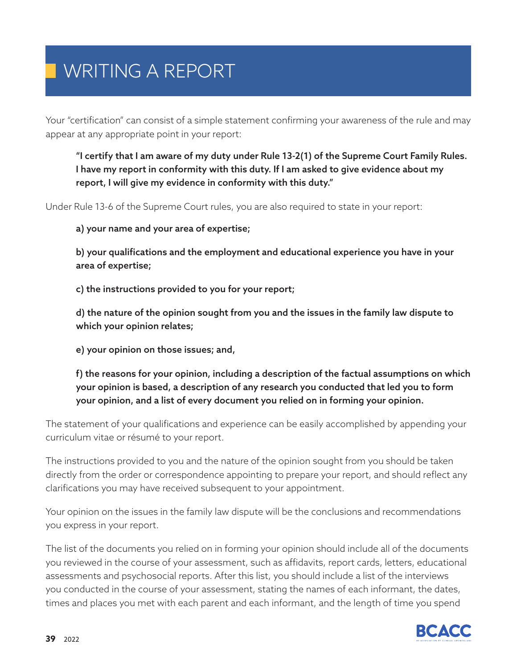Your "certification" can consist of a simple statement confirming your awareness of the rule and may appear at any appropriate point in your report:

"I certify that I am aware of my duty under Rule 13-2(1) of the Supreme Court Family Rules. I have my report in conformity with this duty. If I am asked to give evidence about my report, I will give my evidence in conformity with this duty."

Under Rule 13-6 of the Supreme Court rules, you are also required to state in your report:

a) your name and your area of expertise;

b) your qualifications and the employment and educational experience you have in your area of expertise;

c) the instructions provided to you for your report;

d) the nature of the opinion sought from you and the issues in the family law dispute to which your opinion relates;

e) your opinion on those issues; and,

f) the reasons for your opinion, including a description of the factual assumptions on which your opinion is based, a description of any research you conducted that led you to form your opinion, and a list of every document you relied on in forming your opinion.

The statement of your qualifications and experience can be easily accomplished by appending your curriculum vitae or résumé to your report.

The instructions provided to you and the nature of the opinion sought from you should be taken directly from the order or correspondence appointing to prepare your report, and should reflect any clarifications you may have received subsequent to your appointment.

Your opinion on the issues in the family law dispute will be the conclusions and recommendations you express in your report.

The list of the documents you relied on in forming your opinion should include all of the documents you reviewed in the course of your assessment, such as affidavits, report cards, letters, educational assessments and psychosocial reports. After this list, you should include a list of the interviews you conducted in the course of your assessment, stating the names of each informant, the dates, times and places you met with each parent and each informant, and the length of time you spend

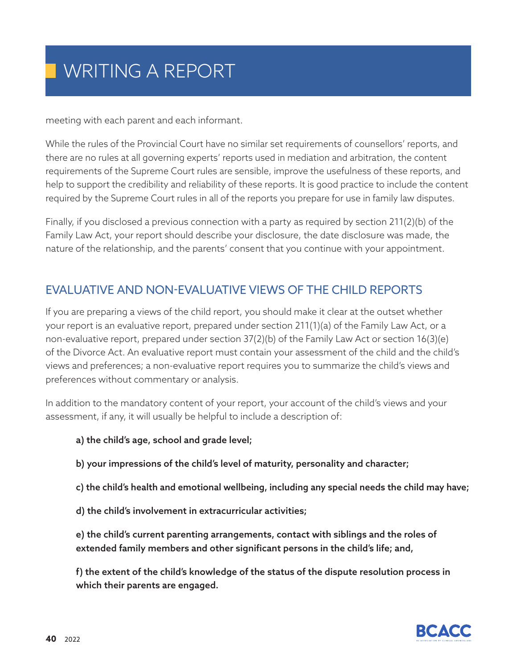meeting with each parent and each informant.

While the rules of the Provincial Court have no similar set requirements of counsellors' reports, and there are no rules at all governing experts' reports used in mediation and arbitration, the content requirements of the Supreme Court rules are sensible, improve the usefulness of these reports, and help to support the credibility and reliability of these reports. It is good practice to include the content required by the Supreme Court rules in all of the reports you prepare for use in family law disputes.

Finally, if you disclosed a previous connection with a party as required by section 211(2)(b) of the Family Law Act, your report should describe your disclosure, the date disclosure was made, the nature of the relationship, and the parents' consent that you continue with your appointment.

### EVALUATIVE AND NON-EVALUATIVE VIEWS OF THE CHILD REPORTS

If you are preparing a views of the child report, you should make it clear at the outset whether your report is an evaluative report, prepared under section 211(1)(a) of the Family Law Act, or a non-evaluative report, prepared under section 37(2)(b) of the Family Law Act or section 16(3)(e) of the Divorce Act. An evaluative report must contain your assessment of the child and the child's views and preferences; a non-evaluative report requires you to summarize the child's views and preferences without commentary or analysis.

In addition to the mandatory content of your report, your account of the child's views and your assessment, if any, it will usually be helpful to include a description of:

- a) the child's age, school and grade level;
- b) your impressions of the child's level of maturity, personality and character;
- c) the child's health and emotional wellbeing, including any special needs the child may have;
- d) the child's involvement in extracurricular activities;

e) the child's current parenting arrangements, contact with siblings and the roles of extended family members and other significant persons in the child's life; and,

f) the extent of the child's knowledge of the status of the dispute resolution process in which their parents are engaged.

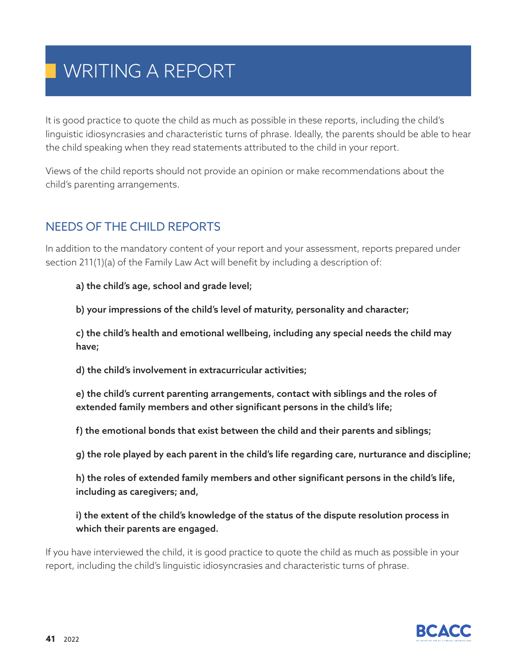It is good practice to quote the child as much as possible in these reports, including the child's linguistic idiosyncrasies and characteristic turns of phrase. Ideally, the parents should be able to hear the child speaking when they read statements attributed to the child in your report.

Views of the child reports should not provide an opinion or make recommendations about the child's parenting arrangements.

### NEEDS OF THE CHILD REPORTS

In addition to the mandatory content of your report and your assessment, reports prepared under section 211(1)(a) of the Family Law Act will benefit by including a description of:

a) the child's age, school and grade level;

b) your impressions of the child's level of maturity, personality and character;

c) the child's health and emotional wellbeing, including any special needs the child may have;

d) the child's involvement in extracurricular activities;

e) the child's current parenting arrangements, contact with siblings and the roles of extended family members and other significant persons in the child's life;

f) the emotional bonds that exist between the child and their parents and siblings;

g) the role played by each parent in the child's life regarding care, nurturance and discipline;

h) the roles of extended family members and other significant persons in the child's life, including as caregivers; and,

i) the extent of the child's knowledge of the status of the dispute resolution process in which their parents are engaged.

If you have interviewed the child, it is good practice to quote the child as much as possible in your report, including the child's linguistic idiosyncrasies and characteristic turns of phrase.

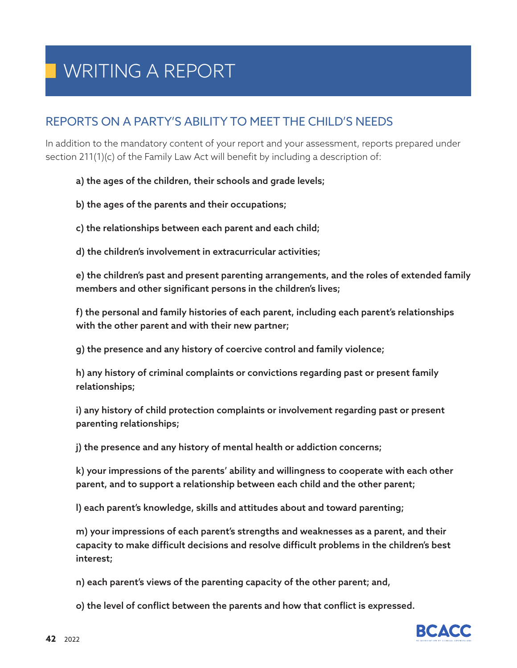### REPORTS ON A PARTY'S ABILITY TO MEET THE CHILD'S NEEDS

In addition to the mandatory content of your report and your assessment, reports prepared under section 211(1)(c) of the Family Law Act will benefit by including a description of:

a) the ages of the children, their schools and grade levels;

b) the ages of the parents and their occupations;

c) the relationships between each parent and each child;

d) the children's involvement in extracurricular activities;

e) the children's past and present parenting arrangements, and the roles of extended family members and other significant persons in the children's lives;

f) the personal and family histories of each parent, including each parent's relationships with the other parent and with their new partner;

g) the presence and any history of coercive control and family violence;

h) any history of criminal complaints or convictions regarding past or present family relationships;

i) any history of child protection complaints or involvement regarding past or present parenting relationships;

j) the presence and any history of mental health or addiction concerns;

k) your impressions of the parents' ability and willingness to cooperate with each other parent, and to support a relationship between each child and the other parent;

l) each parent's knowledge, skills and attitudes about and toward parenting;

m) your impressions of each parent's strengths and weaknesses as a parent, and their capacity to make difficult decisions and resolve difficult problems in the children's best interest;

n) each parent's views of the parenting capacity of the other parent; and,

o) the level of conflict between the parents and how that conflict is expressed.

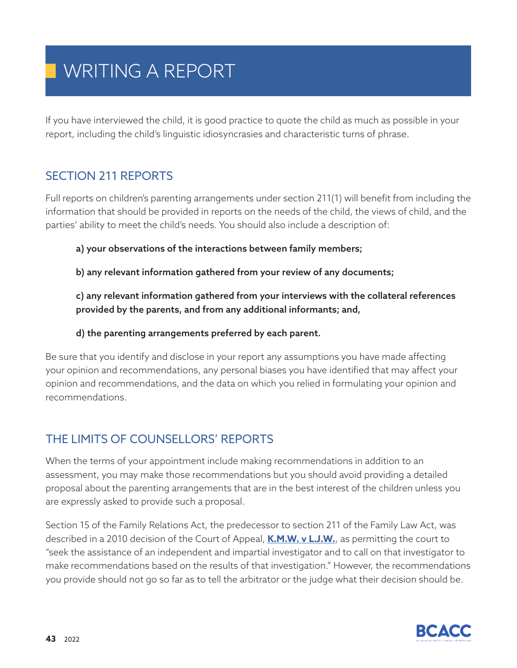If you have interviewed the child, it is good practice to quote the child as much as possible in your report, including the child's linguistic idiosyncrasies and characteristic turns of phrase.

### SECTION 211 REPORTS

Full reports on children's parenting arrangements under section 211(1) will benefit from including the information that should be provided in reports on the needs of the child, the views of child, and the parties' ability to meet the child's needs. You should also include a description of:

a) your observations of the interactions between family members;

b) any relevant information gathered from your review of any documents;

c) any relevant information gathered from your interviews with the collateral references provided by the parents, and from any additional informants; and,

#### d) the parenting arrangements preferred by each parent.

Be sure that you identify and disclose in your report any assumptions you have made affecting your opinion and recommendations, any personal biases you have identified that may affect your opinion and recommendations, and the data on which you relied in formulating your opinion and recommendations.

### THE LIMITS OF COUNSELLORS' REPORTS

When the terms of your appointment include making recommendations in addition to an assessment, you may make those recommendations but you should avoid providing a detailed proposal about the parenting arrangements that are in the best interest of the children unless you are expressly asked to provide such a proposal.

Section 15 of the Family Relations Act, the predecessor to section 211 of the Family Law Act, was described in a 2010 decision of the Court of Appeal, **K.M.W. v L.J.W.**, as permitting the court to "seek the assistance of an independent and impartial investigator and to call on that investigator to make recommendations based on the results of that investigation." However, the recommendations you provide should not go so far as to tell the arbitrator or the judge what their decision should be.

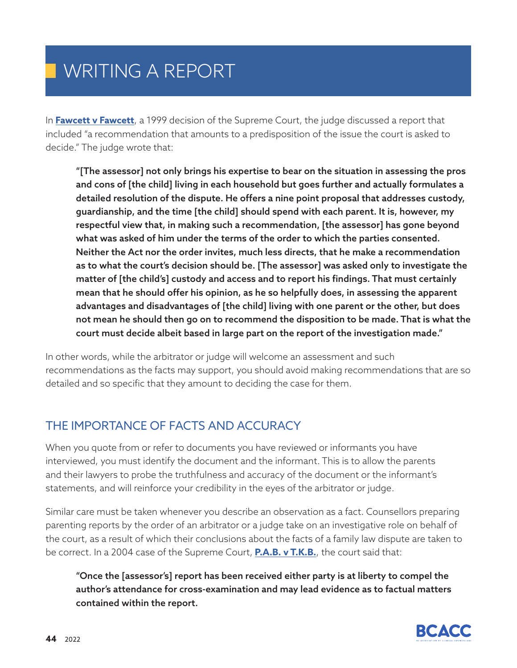In **Fawcett v Fawcett**, a 1999 decision of the Supreme Court, the judge discussed a report that included "a recommendation that amounts to a predisposition of the issue the court is asked to decide." The judge wrote that:

"[The assessor] not only brings his expertise to bear on the situation in assessing the pros and cons of [the child] living in each household but goes further and actually formulates a detailed resolution of the dispute. He offers a nine point proposal that addresses custody, guardianship, and the time [the child] should spend with each parent. It is, however, my respectful view that, in making such a recommendation, [the assessor] has gone beyond what was asked of him under the terms of the order to which the parties consented. Neither the Act nor the order invites, much less directs, that he make a recommendation as to what the court's decision should be. [The assessor] was asked only to investigate the matter of [the child's] custody and access and to report his findings. That must certainly mean that he should offer his opinion, as he so helpfully does, in assessing the apparent advantages and disadvantages of [the child] living with one parent or the other, but does not mean he should then go on to recommend the disposition to be made. That is what the court must decide albeit based in large part on the report of the investigation made."

In other words, while the arbitrator or judge will welcome an assessment and such recommendations as the facts may support, you should avoid making recommendations that are so detailed and so specific that they amount to deciding the case for them.

### THE IMPORTANCE OF FACTS AND ACCURACY

When you quote from or refer to documents you have reviewed or informants you have interviewed, you must identify the document and the informant. This is to allow the parents and their lawyers to probe the truthfulness and accuracy of the document or the informant's statements, and will reinforce your credibility in the eyes of the arbitrator or judge.

Similar care must be taken whenever you describe an observation as a fact. Counsellors preparing parenting reports by the order of an arbitrator or a judge take on an investigative role on behalf of the court, as a result of which their conclusions about the facts of a family law dispute are taken to be correct. In a 2004 case of the Supreme Court, **P.A.B. v T.K.B.**, the court said that:

"Once the [assessor's] report has been received either party is at liberty to compel the author's attendance for cross-examination and may lead evidence as to factual matters contained within the report.

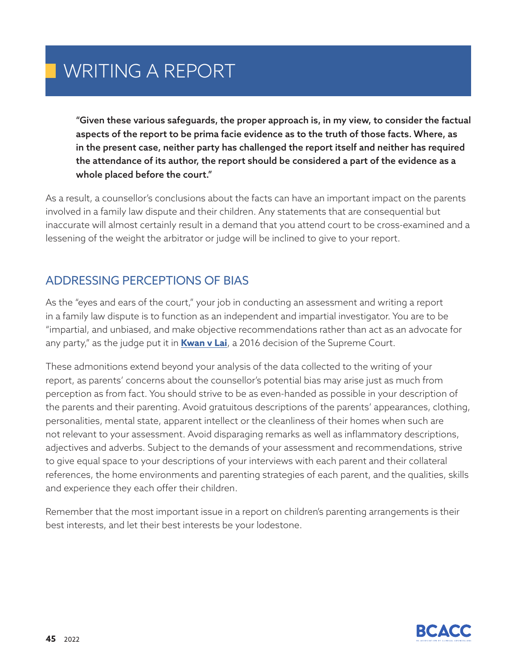"Given these various safeguards, the proper approach is, in my view, to consider the factual aspects of the report to be prima facie evidence as to the truth of those facts. Where, as in the present case, neither party has challenged the report itself and neither has required the attendance of its author, the report should be considered a part of the evidence as a whole placed before the court."

As a result, a counsellor's conclusions about the facts can have an important impact on the parents involved in a family law dispute and their children. Any statements that are consequential but inaccurate will almost certainly result in a demand that you attend court to be cross-examined and a lessening of the weight the arbitrator or judge will be inclined to give to your report.

### ADDRESSING PERCEPTIONS OF BIAS

As the "eyes and ears of the court," your job in conducting an assessment and writing a report in a family law dispute is to function as an independent and impartial investigator. You are to be "impartial, and unbiased, and make objective recommendations rather than act as an advocate for any party," as the judge put it in **Kwan v Lai**, a 2016 decision of the Supreme Court.

These admonitions extend beyond your analysis of the data collected to the writing of your report, as parents' concerns about the counsellor's potential bias may arise just as much from perception as from fact. You should strive to be as even-handed as possible in your description of the parents and their parenting. Avoid gratuitous descriptions of the parents' appearances, clothing, personalities, mental state, apparent intellect or the cleanliness of their homes when such are not relevant to your assessment. Avoid disparaging remarks as well as inflammatory descriptions, adjectives and adverbs. Subject to the demands of your assessment and recommendations, strive to give equal space to your descriptions of your interviews with each parent and their collateral references, the home environments and parenting strategies of each parent, and the qualities, skills and experience they each offer their children.

Remember that the most important issue in a report on children's parenting arrangements is their best interests, and let their best interests be your lodestone.

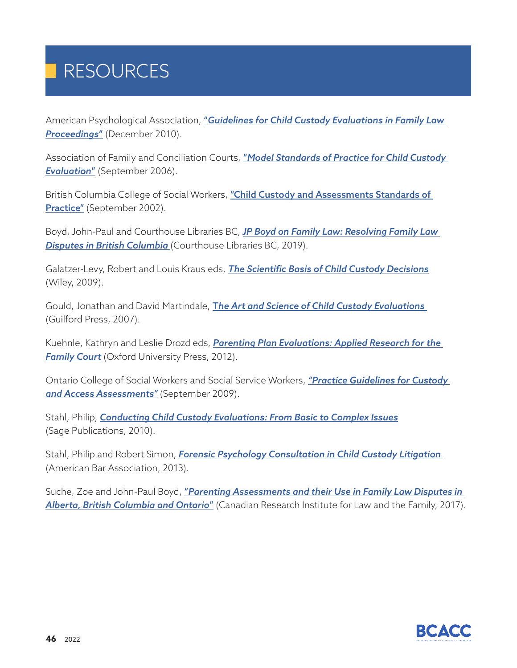# RESOURCES

American Psychological Association, "*Guidelines for Child Custody Evaluations in Family Law Proceedings*" (December 2010).

Association of Family and Conciliation Courts, "*Model Standards of Practice for Child Custody Evaluation*" (September 2006).

British Columbia College of Social Workers, "Child Custody and Assessments Standards of Practice" (September 2002).

Boyd, John-Paul and Courthouse Libraries BC, *JP Boyd on Family Law: Resolving Family Law Disputes in British Columbia* (Courthouse Libraries BC, 2019).

Galatzer-Levy, Robert and Louis Kraus eds, *The Scientific Basis of Child Custody Decisions* (Wiley, 2009).

Gould, Jonathan and David Martindale, T*he Art and Science of Child Custody Evaluations* (Guilford Press, 2007).

Kuehnle, Kathryn and Leslie Drozd eds, *Parenting Plan Evaluations: Applied Research for the*  **Family Court** (Oxford University Press, 2012).

Ontario College of Social Workers and Social Service Workers, *"Practice Guidelines for Custody and Access Assessments"* (September 2009).

Stahl, Philip, *Conducting Child Custody Evaluations: From Basic to Complex Issues* (Sage Publications, 2010).

Stahl, Philip and Robert Simon, *Forensic Psychology Consultation in Child Custody Litigation* (American Bar Association, 2013).

Suche, Zoe and John-Paul Boyd, "*Parenting Assessments and their Use in Family Law Disputes in Alberta, British Columbia and Ontario*" (Canadian Research Institute for Law and the Family, 2017).